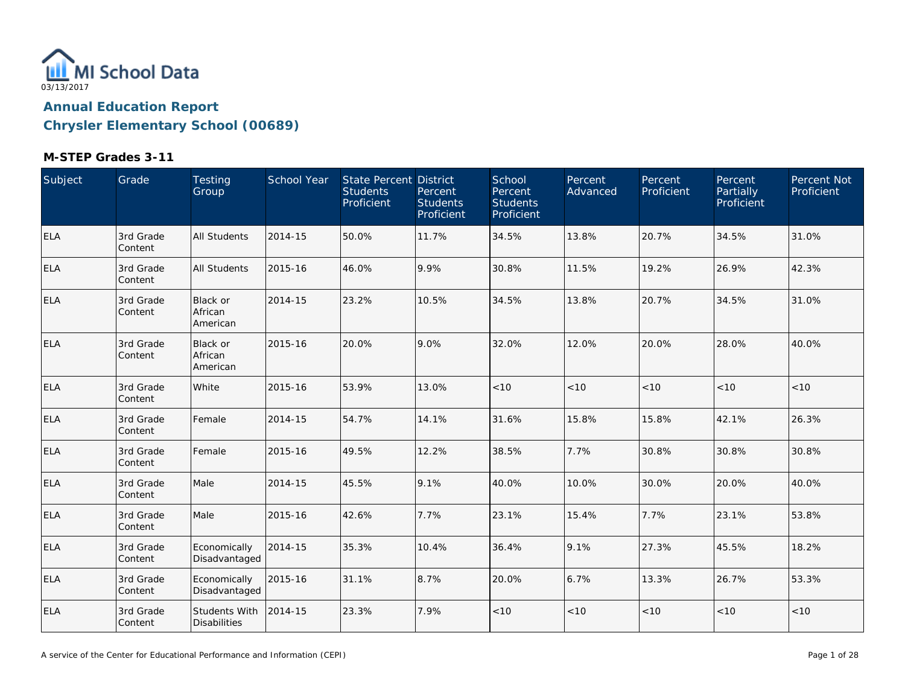

| Subject    | Grade                | Testing<br>Group                     | School Year | State Percent District<br><b>Students</b><br>Proficient | Percent<br><b>Students</b><br>Proficient | School<br>Percent<br><b>Students</b><br>Proficient | Percent<br>Advanced | Percent<br>Proficient | Percent<br>Partially<br>Proficient | Percent Not<br>Proficient |
|------------|----------------------|--------------------------------------|-------------|---------------------------------------------------------|------------------------------------------|----------------------------------------------------|---------------------|-----------------------|------------------------------------|---------------------------|
| <b>ELA</b> | 3rd Grade<br>Content | All Students                         | 2014-15     | 50.0%                                                   | 11.7%                                    | 34.5%                                              | 13.8%               | 20.7%                 | 34.5%                              | 31.0%                     |
| <b>ELA</b> | 3rd Grade<br>Content | All Students                         | 2015-16     | 46.0%                                                   | 9.9%                                     | 30.8%                                              | 11.5%               | 19.2%                 | 26.9%                              | 42.3%                     |
| <b>ELA</b> | 3rd Grade<br>Content | Black or<br>African<br>American      | 2014-15     | 23.2%                                                   | 10.5%                                    | 34.5%                                              | 13.8%               | 20.7%                 | 34.5%                              | 31.0%                     |
| ELA        | 3rd Grade<br>Content | Black or<br>African<br>American      | 2015-16     | 20.0%                                                   | 9.0%                                     | 32.0%                                              | 12.0%               | 20.0%                 | 28.0%                              | 40.0%                     |
| ELA        | 3rd Grade<br>Content | White                                | 2015-16     | 53.9%                                                   | 13.0%                                    | $<10$                                              | < 10                | < 10                  | < 10                               | < 10                      |
| <b>ELA</b> | 3rd Grade<br>Content | Female                               | 2014-15     | 54.7%                                                   | 14.1%                                    | 31.6%                                              | 15.8%               | 15.8%                 | 42.1%                              | 26.3%                     |
| <b>ELA</b> | 3rd Grade<br>Content | Female                               | 2015-16     | 49.5%                                                   | 12.2%                                    | 38.5%                                              | 7.7%                | 30.8%                 | 30.8%                              | 30.8%                     |
| <b>ELA</b> | 3rd Grade<br>Content | Male                                 | 2014-15     | 45.5%                                                   | 9.1%                                     | 40.0%                                              | 10.0%               | 30.0%                 | 20.0%                              | 40.0%                     |
| <b>ELA</b> | 3rd Grade<br>Content | Male                                 | 2015-16     | 42.6%                                                   | 7.7%                                     | 23.1%                                              | 15.4%               | 7.7%                  | 23.1%                              | 53.8%                     |
| ELA        | 3rd Grade<br>Content | Economically<br>Disadvantaged        | 2014-15     | 35.3%                                                   | 10.4%                                    | 36.4%                                              | 9.1%                | 27.3%                 | 45.5%                              | 18.2%                     |
| <b>ELA</b> | 3rd Grade<br>Content | Economically<br>Disadvantaged        | 2015-16     | 31.1%                                                   | 8.7%                                     | 20.0%                                              | 6.7%                | 13.3%                 | 26.7%                              | 53.3%                     |
| <b>ELA</b> | 3rd Grade<br>Content | Students With<br><b>Disabilities</b> | 2014-15     | 23.3%                                                   | 7.9%                                     | < 10                                               | $<10$               | < 10                  | < 10                               | < 10                      |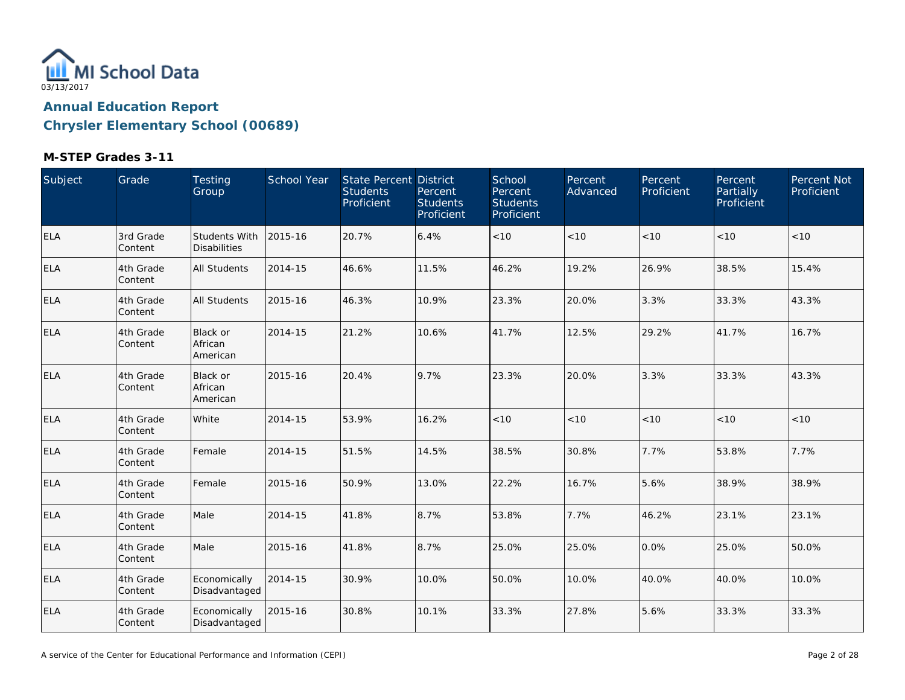

| Subject    | Grade                | Testing<br>Group                       | School Year | State Percent District<br><b>Students</b><br>Proficient | Percent<br><b>Students</b><br>Proficient | School<br>Percent<br><b>Students</b><br>Proficient | Percent<br>Advanced | Percent<br>Proficient | Percent<br>Partially<br>Proficient | Percent Not<br>Proficient |
|------------|----------------------|----------------------------------------|-------------|---------------------------------------------------------|------------------------------------------|----------------------------------------------------|---------------------|-----------------------|------------------------------------|---------------------------|
| <b>ELA</b> | 3rd Grade<br>Content | Students With<br><b>Disabilities</b>   | 2015-16     | 20.7%                                                   | 6.4%                                     | $<10$                                              | < 10                | < 10                  | < 10                               | <10                       |
| <b>ELA</b> | 4th Grade<br>Content | All Students                           | 2014-15     | 46.6%                                                   | 11.5%                                    | 46.2%                                              | 19.2%               | 26.9%                 | 38.5%                              | 15.4%                     |
| <b>ELA</b> | 4th Grade<br>Content | All Students                           | 2015-16     | 46.3%                                                   | 10.9%                                    | 23.3%                                              | 20.0%               | 3.3%                  | 33.3%                              | 43.3%                     |
| <b>ELA</b> | 4th Grade<br>Content | <b>Black or</b><br>African<br>American | 2014-15     | 21.2%                                                   | 10.6%                                    | 41.7%                                              | 12.5%               | 29.2%                 | 41.7%                              | 16.7%                     |
| <b>ELA</b> | 4th Grade<br>Content | Black or<br>African<br>American        | 2015-16     | 20.4%                                                   | 9.7%                                     | 23.3%                                              | 20.0%               | 3.3%                  | 33.3%                              | 43.3%                     |
| <b>ELA</b> | 4th Grade<br>Content | White                                  | 2014-15     | 53.9%                                                   | 16.2%                                    | < 10                                               | < 10                | < 10                  | < 10                               | < 10                      |
| <b>ELA</b> | 4th Grade<br>Content | Female                                 | 2014-15     | 51.5%                                                   | 14.5%                                    | 38.5%                                              | 30.8%               | 7.7%                  | 53.8%                              | 7.7%                      |
| <b>ELA</b> | 4th Grade<br>Content | Female                                 | 2015-16     | 50.9%                                                   | 13.0%                                    | 22.2%                                              | 16.7%               | 5.6%                  | 38.9%                              | 38.9%                     |
| <b>ELA</b> | 4th Grade<br>Content | Male                                   | 2014-15     | 41.8%                                                   | 8.7%                                     | 53.8%                                              | 7.7%                | 46.2%                 | 23.1%                              | 23.1%                     |
| <b>ELA</b> | 4th Grade<br>Content | Male                                   | 2015-16     | 41.8%                                                   | 8.7%                                     | 25.0%                                              | 25.0%               | 0.0%                  | 25.0%                              | 50.0%                     |
| <b>ELA</b> | 4th Grade<br>Content | Economically<br>Disadvantaged          | 2014-15     | 30.9%                                                   | 10.0%                                    | 50.0%                                              | 10.0%               | 40.0%                 | 40.0%                              | 10.0%                     |
| <b>ELA</b> | 4th Grade<br>Content | Economically<br>Disadvantaged          | 2015-16     | 30.8%                                                   | 10.1%                                    | 33.3%                                              | 27.8%               | 5.6%                  | 33.3%                              | 33.3%                     |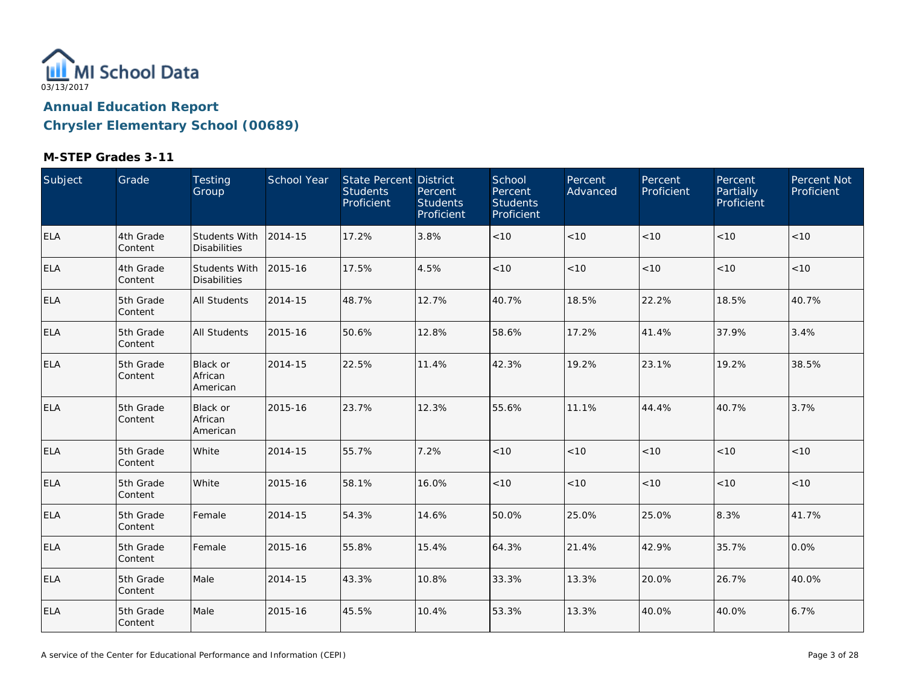

| Subject    | Grade                | Testing<br>Group                            | School Year | State Percent District<br><b>Students</b><br>Proficient | Percent<br><b>Students</b><br>Proficient | School<br>Percent<br><b>Students</b><br>Proficient | Percent<br>Advanced | Percent<br>Proficient | Percent<br>Partially<br>Proficient | Percent Not<br>Proficient |
|------------|----------------------|---------------------------------------------|-------------|---------------------------------------------------------|------------------------------------------|----------------------------------------------------|---------------------|-----------------------|------------------------------------|---------------------------|
| <b>ELA</b> | 4th Grade<br>Content | <b>Students With</b><br><b>Disabilities</b> | 2014-15     | 17.2%                                                   | 3.8%                                     | $<10$                                              | < 10                | < 10                  | < 10                               | < 10                      |
| <b>ELA</b> | 4th Grade<br>Content | Students With<br><b>Disabilities</b>        | 2015-16     | 17.5%                                                   | 4.5%                                     | $<10$                                              | < 10                | < 10                  | < 10                               | < 10                      |
| <b>ELA</b> | 5th Grade<br>Content | All Students                                | 2014-15     | 48.7%                                                   | 12.7%                                    | 40.7%                                              | 18.5%               | 22.2%                 | 18.5%                              | 40.7%                     |
| <b>ELA</b> | 5th Grade<br>Content | <b>All Students</b>                         | 2015-16     | 50.6%                                                   | 12.8%                                    | 58.6%                                              | 17.2%               | 41.4%                 | 37.9%                              | 3.4%                      |
| <b>ELA</b> | 5th Grade<br>Content | Black or<br>African<br>American             | 2014-15     | 22.5%                                                   | 11.4%                                    | 42.3%                                              | 19.2%               | 23.1%                 | 19.2%                              | 38.5%                     |
| <b>ELA</b> | 5th Grade<br>Content | Black or<br>African<br>American             | 2015-16     | 23.7%                                                   | 12.3%                                    | 55.6%                                              | 11.1%               | 44.4%                 | 40.7%                              | 3.7%                      |
| <b>ELA</b> | 5th Grade<br>Content | White                                       | 2014-15     | 55.7%                                                   | 7.2%                                     | $<10$                                              | $<10$               | < 10                  | < 10                               | <10                       |
| <b>ELA</b> | 5th Grade<br>Content | White                                       | 2015-16     | 58.1%                                                   | 16.0%                                    | $<10$                                              | $<10$               | $<10$                 | < 10                               | $<10$                     |
| <b>ELA</b> | 5th Grade<br>Content | Female                                      | 2014-15     | 54.3%                                                   | 14.6%                                    | 50.0%                                              | 25.0%               | 25.0%                 | 8.3%                               | 41.7%                     |
| ELA        | 5th Grade<br>Content | Female                                      | 2015-16     | 55.8%                                                   | 15.4%                                    | 64.3%                                              | 21.4%               | 42.9%                 | 35.7%                              | 0.0%                      |
| <b>ELA</b> | 5th Grade<br>Content | Male                                        | 2014-15     | 43.3%                                                   | 10.8%                                    | 33.3%                                              | 13.3%               | 20.0%                 | 26.7%                              | 40.0%                     |
| <b>ELA</b> | 5th Grade<br>Content | Male                                        | 2015-16     | 45.5%                                                   | 10.4%                                    | 53.3%                                              | 13.3%               | 40.0%                 | 40.0%                              | 6.7%                      |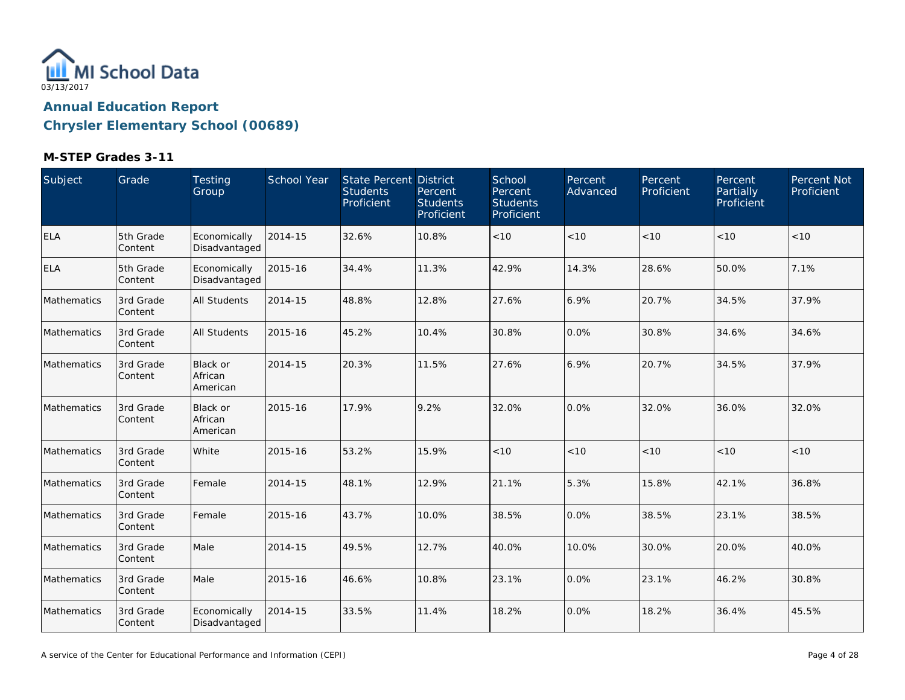

| Subject     | Grade                | Testing<br>Group                       | School Year | <b>State Percent District</b><br><b>Students</b><br>Proficient | Percent<br><b>Students</b><br>Proficient | School<br>Percent<br><b>Students</b><br>Proficient | Percent<br>Advanced | Percent<br>Proficient | Percent<br>Partially<br>Proficient | Percent Not<br>Proficient |
|-------------|----------------------|----------------------------------------|-------------|----------------------------------------------------------------|------------------------------------------|----------------------------------------------------|---------------------|-----------------------|------------------------------------|---------------------------|
| <b>ELA</b>  | 5th Grade<br>Content | Economically<br>Disadvantaged          | 2014-15     | 32.6%                                                          | 10.8%                                    | < 10                                               | < 10                | < 10                  | < 10                               | < 10                      |
| <b>ELA</b>  | 5th Grade<br>Content | Economically<br>Disadvantaged          | 2015-16     | 34.4%                                                          | 11.3%                                    | 42.9%                                              | 14.3%               | 28.6%                 | 50.0%                              | 7.1%                      |
| Mathematics | 3rd Grade<br>Content | <b>All Students</b>                    | 2014-15     | 48.8%                                                          | 12.8%                                    | 27.6%                                              | 6.9%                | 20.7%                 | 34.5%                              | 37.9%                     |
| Mathematics | 3rd Grade<br>Content | <b>All Students</b>                    | 2015-16     | 45.2%                                                          | 10.4%                                    | 30.8%                                              | 0.0%                | 30.8%                 | 34.6%                              | 34.6%                     |
| Mathematics | 3rd Grade<br>Content | Black or<br>African<br>American        | 2014-15     | 20.3%                                                          | 11.5%                                    | 27.6%                                              | 6.9%                | 20.7%                 | 34.5%                              | 37.9%                     |
| Mathematics | 3rd Grade<br>Content | <b>Black or</b><br>African<br>American | 2015-16     | 17.9%                                                          | 9.2%                                     | 32.0%                                              | 0.0%                | 32.0%                 | 36.0%                              | 32.0%                     |
| Mathematics | 3rd Grade<br>Content | White                                  | 2015-16     | 53.2%                                                          | 15.9%                                    | < 10                                               | < 10                | < 10                  | < 10                               | < 10                      |
| Mathematics | 3rd Grade<br>Content | Female                                 | 2014-15     | 48.1%                                                          | 12.9%                                    | 21.1%                                              | 5.3%                | 15.8%                 | 42.1%                              | 36.8%                     |
| Mathematics | 3rd Grade<br>Content | Female                                 | 2015-16     | 43.7%                                                          | 10.0%                                    | 38.5%                                              | 0.0%                | 38.5%                 | 23.1%                              | 38.5%                     |
| Mathematics | 3rd Grade<br>Content | Male                                   | 2014-15     | 49.5%                                                          | 12.7%                                    | 40.0%                                              | 10.0%               | 30.0%                 | 20.0%                              | 40.0%                     |
| Mathematics | 3rd Grade<br>Content | Male                                   | 2015-16     | 46.6%                                                          | 10.8%                                    | 23.1%                                              | 0.0%                | 23.1%                 | 46.2%                              | 30.8%                     |
| Mathematics | 3rd Grade<br>Content | Economically<br>Disadvantaged          | 2014-15     | 33.5%                                                          | 11.4%                                    | 18.2%                                              | 0.0%                | 18.2%                 | 36.4%                              | 45.5%                     |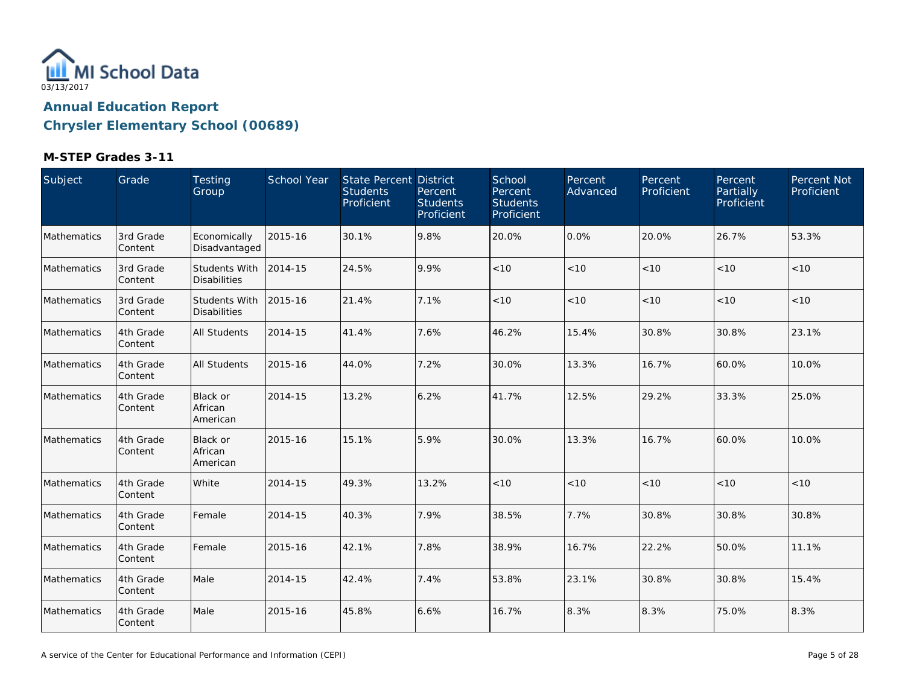

| Subject     | Grade                | Testing<br>Group                            | School Year | State Percent District<br><b>Students</b><br>Proficient | Percent<br><b>Students</b><br>Proficient | School<br>Percent<br><b>Students</b><br>Proficient | Percent<br>Advanced | Percent<br>Proficient | Percent<br>Partially<br>Proficient | Percent Not<br>Proficient |
|-------------|----------------------|---------------------------------------------|-------------|---------------------------------------------------------|------------------------------------------|----------------------------------------------------|---------------------|-----------------------|------------------------------------|---------------------------|
| Mathematics | 3rd Grade<br>Content | Economically<br>Disadvantaged               | 2015-16     | 30.1%                                                   | 9.8%                                     | 20.0%                                              | 0.0%                | 20.0%                 | 26.7%                              | 53.3%                     |
| Mathematics | 3rd Grade<br>Content | Students With<br><b>Disabilities</b>        | 2014-15     | 24.5%                                                   | 9.9%                                     | < 10                                               | < 10                | < 10                  | < 10                               | < 10                      |
| Mathematics | 3rd Grade<br>Content | <b>Students With</b><br><b>Disabilities</b> | 2015-16     | 21.4%                                                   | 7.1%                                     | $<10$                                              | $<10$               | $<10$                 | < 10                               | < 10                      |
| Mathematics | 4th Grade<br>Content | <b>All Students</b>                         | 2014-15     | 41.4%                                                   | 7.6%                                     | 46.2%                                              | 15.4%               | 30.8%                 | 30.8%                              | 23.1%                     |
| Mathematics | 4th Grade<br>Content | All Students                                | 2015-16     | 44.0%                                                   | 7.2%                                     | 30.0%                                              | 13.3%               | 16.7%                 | 60.0%                              | 10.0%                     |
| Mathematics | 4th Grade<br>Content | <b>Black or</b><br>African<br>American      | 2014-15     | 13.2%                                                   | 6.2%                                     | 41.7%                                              | 12.5%               | 29.2%                 | 33.3%                              | 25.0%                     |
| Mathematics | 4th Grade<br>Content | Black or<br>African<br>American             | 2015-16     | 15.1%                                                   | 5.9%                                     | 30.0%                                              | 13.3%               | 16.7%                 | 60.0%                              | 10.0%                     |
| Mathematics | 4th Grade<br>Content | White                                       | 2014-15     | 49.3%                                                   | 13.2%                                    | < 10                                               | $<10$               | $<10$                 | < 10                               | $<10$                     |
| Mathematics | 4th Grade<br>Content | Female                                      | 2014-15     | 40.3%                                                   | 7.9%                                     | 38.5%                                              | 7.7%                | 30.8%                 | 30.8%                              | 30.8%                     |
| Mathematics | 4th Grade<br>Content | Female                                      | 2015-16     | 42.1%                                                   | 7.8%                                     | 38.9%                                              | 16.7%               | 22.2%                 | 50.0%                              | 11.1%                     |
| Mathematics | 4th Grade<br>Content | Male                                        | 2014-15     | 42.4%                                                   | 7.4%                                     | 53.8%                                              | 23.1%               | 30.8%                 | 30.8%                              | 15.4%                     |
| Mathematics | 4th Grade<br>Content | Male                                        | 2015-16     | 45.8%                                                   | 6.6%                                     | 16.7%                                              | 8.3%                | 8.3%                  | 75.0%                              | 8.3%                      |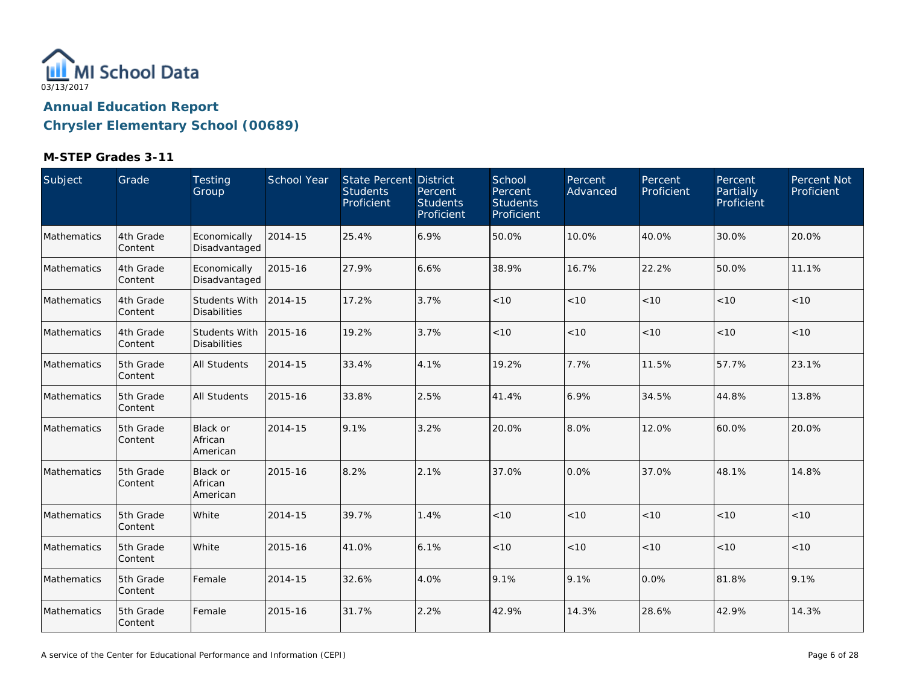

| Subject     | Grade                | Testing<br>Group                            | School Year | <b>State Percent District</b><br><b>Students</b><br>Proficient | Percent<br><b>Students</b><br>Proficient | School<br>Percent<br><b>Students</b><br>Proficient | Percent<br>Advanced | Percent<br>Proficient | Percent<br>Partially<br>Proficient | Percent Not<br>Proficient |
|-------------|----------------------|---------------------------------------------|-------------|----------------------------------------------------------------|------------------------------------------|----------------------------------------------------|---------------------|-----------------------|------------------------------------|---------------------------|
| Mathematics | 4th Grade<br>Content | Economically<br>Disadvantaged               | 2014-15     | 25.4%                                                          | 6.9%                                     | 50.0%                                              | 10.0%               | 40.0%                 | 30.0%                              | 20.0%                     |
| Mathematics | 4th Grade<br>Content | Economically<br>Disadvantaged               | 2015-16     | 27.9%                                                          | 6.6%                                     | 38.9%                                              | 16.7%               | 22.2%                 | 50.0%                              | 11.1%                     |
| Mathematics | 4th Grade<br>Content | <b>Students With</b><br><b>Disabilities</b> | 2014-15     | 17.2%                                                          | 3.7%                                     | < 10                                               | < 10                | < 10                  | < 10                               | < 10                      |
| Mathematics | 4th Grade<br>Content | Students With<br><b>Disabilities</b>        | 2015-16     | 19.2%                                                          | 3.7%                                     | < 10                                               | < 10                | < 10                  | < 10                               | < 10                      |
| Mathematics | 5th Grade<br>Content | All Students                                | 2014-15     | 33.4%                                                          | 4.1%                                     | 19.2%                                              | 7.7%                | 11.5%                 | 57.7%                              | 23.1%                     |
| Mathematics | 5th Grade<br>Content | <b>All Students</b>                         | 2015-16     | 33.8%                                                          | 2.5%                                     | 41.4%                                              | 6.9%                | 34.5%                 | 44.8%                              | 13.8%                     |
| Mathematics | 5th Grade<br>Content | <b>Black or</b><br>African<br>American      | 2014-15     | 9.1%                                                           | 3.2%                                     | 20.0%                                              | 8.0%                | 12.0%                 | 60.0%                              | 20.0%                     |
| Mathematics | 5th Grade<br>Content | <b>Black or</b><br>African<br>American      | 2015-16     | 8.2%                                                           | 2.1%                                     | 37.0%                                              | 0.0%                | 37.0%                 | 48.1%                              | 14.8%                     |
| Mathematics | 5th Grade<br>Content | White                                       | 2014-15     | 39.7%                                                          | 1.4%                                     | < 10                                               | < 10                | < 10                  | < 10                               | $<10$                     |
| Mathematics | 5th Grade<br>Content | White                                       | 2015-16     | 41.0%                                                          | 6.1%                                     | < 10                                               | < 10                | < 10                  | < 10                               | < 10                      |
| Mathematics | 5th Grade<br>Content | Female                                      | 2014-15     | 32.6%                                                          | 4.0%                                     | 9.1%                                               | 9.1%                | 0.0%                  | 81.8%                              | 9.1%                      |
| Mathematics | 5th Grade<br>Content | Female                                      | 2015-16     | 31.7%                                                          | 2.2%                                     | 42.9%                                              | 14.3%               | 28.6%                 | 42.9%                              | 14.3%                     |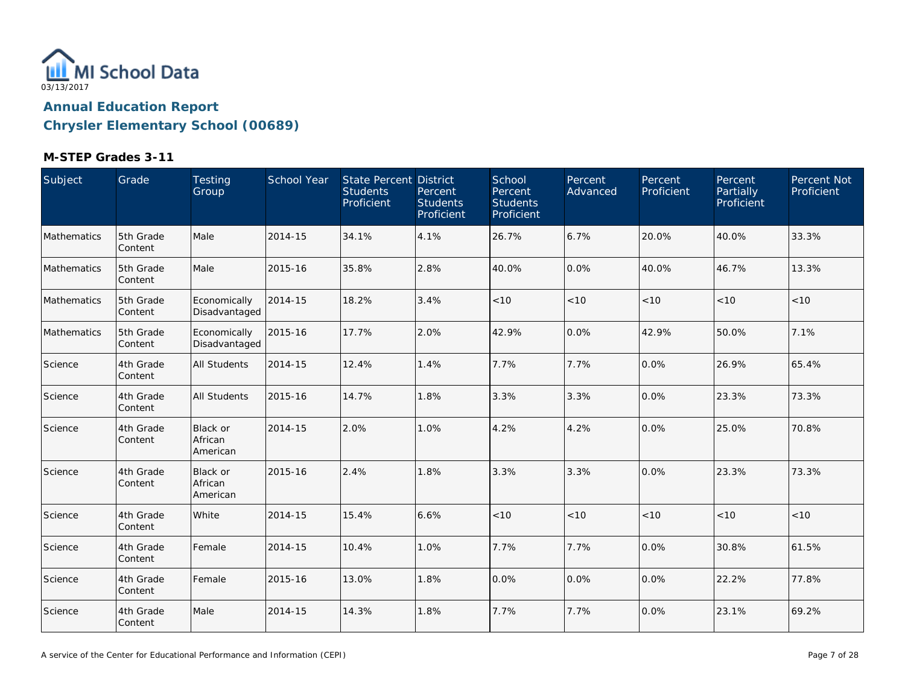

| Subject     | Grade                | Testing<br>Group                       | School Year | <b>State Percent District</b><br><b>Students</b><br>Proficient | Percent<br><b>Students</b><br>Proficient | School<br>Percent<br><b>Students</b><br>Proficient | Percent<br>Advanced | Percent<br>Proficient | Percent<br>Partially<br>Proficient | Percent Not<br>Proficient |
|-------------|----------------------|----------------------------------------|-------------|----------------------------------------------------------------|------------------------------------------|----------------------------------------------------|---------------------|-----------------------|------------------------------------|---------------------------|
| Mathematics | 5th Grade<br>Content | Male                                   | 2014-15     | 34.1%                                                          | 4.1%                                     | 26.7%                                              | 6.7%                | 20.0%                 | 40.0%                              | 33.3%                     |
| Mathematics | 5th Grade<br>Content | Male                                   | 2015-16     | 35.8%                                                          | 2.8%                                     | 40.0%                                              | 0.0%                | 40.0%                 | 46.7%                              | 13.3%                     |
| Mathematics | 5th Grade<br>Content | Economically<br>Disadvantaged          | 2014-15     | 18.2%                                                          | 3.4%                                     | < 10                                               | < 10                | < 10                  | < 10                               | < 10                      |
| Mathematics | 5th Grade<br>Content | Economically<br>Disadvantaged          | 2015-16     | 17.7%                                                          | 2.0%                                     | 42.9%                                              | 0.0%                | 42.9%                 | 50.0%                              | 7.1%                      |
| Science     | 4th Grade<br>Content | All Students                           | 2014-15     | 12.4%                                                          | 1.4%                                     | 7.7%                                               | 7.7%                | 0.0%                  | 26.9%                              | 65.4%                     |
| Science     | 4th Grade<br>Content | All Students                           | 2015-16     | 14.7%                                                          | 1.8%                                     | 3.3%                                               | 3.3%                | 0.0%                  | 23.3%                              | 73.3%                     |
| Science     | 4th Grade<br>Content | <b>Black or</b><br>African<br>American | 2014-15     | 2.0%                                                           | 1.0%                                     | 4.2%                                               | 4.2%                | 0.0%                  | 25.0%                              | 70.8%                     |
| Science     | 4th Grade<br>Content | Black or<br>African<br>American        | 2015-16     | 2.4%                                                           | 1.8%                                     | 3.3%                                               | 3.3%                | 0.0%                  | 23.3%                              | 73.3%                     |
| Science     | 4th Grade<br>Content | White                                  | 2014-15     | 15.4%                                                          | 6.6%                                     | < 10                                               | < 10                | < 10                  | < 10                               | < 10                      |
| Science     | 4th Grade<br>Content | Female                                 | 2014-15     | 10.4%                                                          | 1.0%                                     | 7.7%                                               | 7.7%                | 0.0%                  | 30.8%                              | 61.5%                     |
| Science     | 4th Grade<br>Content | Female                                 | 2015-16     | 13.0%                                                          | 1.8%                                     | 0.0%                                               | 0.0%                | 0.0%                  | 22.2%                              | 77.8%                     |
| Science     | 4th Grade<br>Content | Male                                   | 2014-15     | 14.3%                                                          | 1.8%                                     | 7.7%                                               | 7.7%                | 0.0%                  | 23.1%                              | 69.2%                     |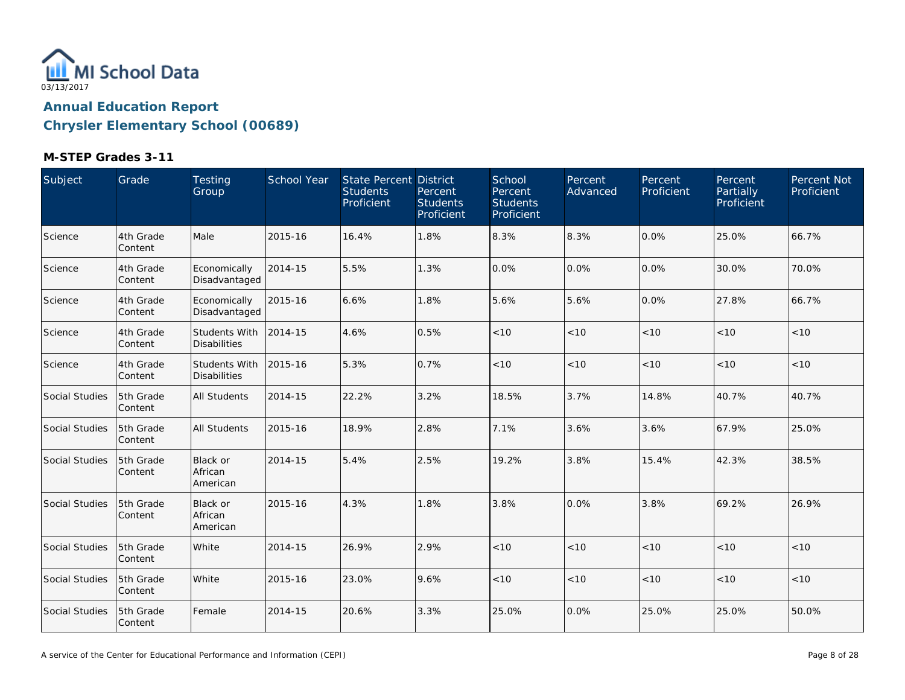

| Subject        | Grade                | Testing<br>Group                            | School Year | State Percent District<br><b>Students</b><br>Proficient | Percent<br><b>Students</b><br>Proficient | School<br><b>Percent</b><br><b>Students</b><br>Proficient | Percent<br>Advanced | Percent<br>Proficient | Percent<br>Partially<br>Proficient | Percent Not<br>Proficient |
|----------------|----------------------|---------------------------------------------|-------------|---------------------------------------------------------|------------------------------------------|-----------------------------------------------------------|---------------------|-----------------------|------------------------------------|---------------------------|
| Science        | 4th Grade<br>Content | Male                                        | 2015-16     | 16.4%                                                   | 1.8%                                     | 8.3%                                                      | 8.3%                | 0.0%                  | 25.0%                              | 66.7%                     |
| Science        | 4th Grade<br>Content | Economically<br>Disadvantaged               | 2014-15     | 5.5%                                                    | 1.3%                                     | 0.0%                                                      | 0.0%                | $0.0\%$               | 30.0%                              | 70.0%                     |
| Science        | 4th Grade<br>Content | Economically<br>Disadvantaged               | 2015-16     | 6.6%                                                    | 1.8%                                     | 5.6%                                                      | 5.6%                | 0.0%                  | 27.8%                              | 66.7%                     |
| Science        | 4th Grade<br>Content | Students With<br><b>Disabilities</b>        | 2014-15     | 4.6%                                                    | 0.5%                                     | < 10                                                      | < 10                | < 10                  | < 10                               | < 10                      |
| Science        | 4th Grade<br>Content | <b>Students With</b><br><b>Disabilities</b> | 2015-16     | 5.3%                                                    | 0.7%                                     | $<10$                                                     | $<10$               | < 10                  | < 10                               | < 10                      |
| Social Studies | 5th Grade<br>Content | <b>All Students</b>                         | 2014-15     | 22.2%                                                   | 3.2%                                     | 18.5%                                                     | 3.7%                | 14.8%                 | 40.7%                              | 40.7%                     |
| Social Studies | 5th Grade<br>Content | <b>All Students</b>                         | 2015-16     | 18.9%                                                   | 2.8%                                     | 7.1%                                                      | 3.6%                | 3.6%                  | 67.9%                              | 25.0%                     |
| Social Studies | 5th Grade<br>Content | Black or<br>African<br>American             | 2014-15     | 5.4%                                                    | 2.5%                                     | 19.2%                                                     | 3.8%                | 15.4%                 | 42.3%                              | 38.5%                     |
| Social Studies | 5th Grade<br>Content | Black or<br>African<br>American             | 2015-16     | 4.3%                                                    | 1.8%                                     | 3.8%                                                      | 0.0%                | 3.8%                  | 69.2%                              | 26.9%                     |
| Social Studies | 5th Grade<br>Content | White                                       | 2014-15     | 26.9%                                                   | 2.9%                                     | < 10                                                      | < 10                | < 10                  | < 10                               | $<10$                     |
| Social Studies | 5th Grade<br>Content | White                                       | 2015-16     | 23.0%                                                   | 9.6%                                     | < 10                                                      | < 10                | < 10                  | < 10                               | < 10                      |
| Social Studies | 5th Grade<br>Content | Female                                      | 2014-15     | 20.6%                                                   | 3.3%                                     | 25.0%                                                     | 0.0%                | 25.0%                 | 25.0%                              | 50.0%                     |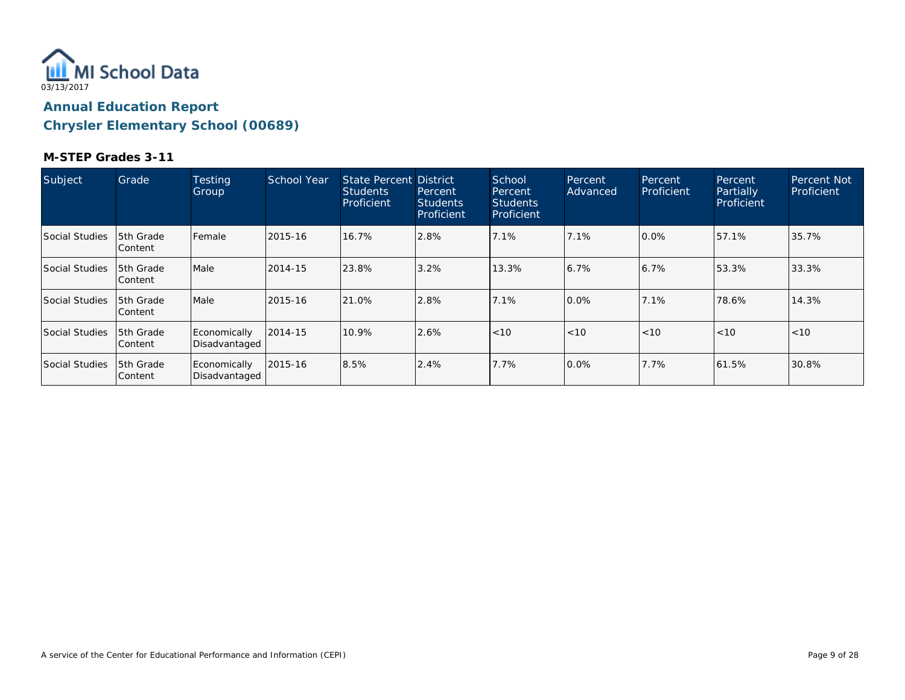

| Subject        | Grade                        | <b>Testing</b><br>Group       | School Year | State Percent District<br><b>Students</b><br>Proficient | Percent<br><b>Students</b><br>Proficient | School<br>Percent<br>Students<br>Proficient | Percent<br>Advanced | Percent<br>Proficient | Percent.<br>Partially<br>Proficient | <b>Percent Not</b><br>Proficient |
|----------------|------------------------------|-------------------------------|-------------|---------------------------------------------------------|------------------------------------------|---------------------------------------------|---------------------|-----------------------|-------------------------------------|----------------------------------|
| Social Studies | 5th Grade<br>Content         | Female                        | 2015-16     | 16.7%                                                   | 2.8%                                     | 7.1%                                        | 7.1%                | $0.0\%$               | 57.1%                               | 35.7%                            |
| Social Studies | 15th Grade<br> Content       | Male                          | 2014-15     | 23.8%                                                   | 3.2%                                     | 13.3%                                       | 6.7%                | 6.7%                  | 53.3%                               | 33.3%                            |
| Social Studies | 5th Grade<br>lContent        | Male                          | 2015-16     | 21.0%                                                   | 2.8%                                     | 7.1%                                        | 0.0%                | 7.1%                  | 78.6%                               | 14.3%                            |
| Social Studies | <b>5th Grade</b><br> Content | Economically<br>Disadvantaged | 2014-15     | 10.9%                                                   | 2.6%                                     | < 10                                        | < 10                | < 10                  | < 10                                | < 10                             |
| Social Studies | 15th Grade<br>lContent       | Economically<br>Disadvantaged | 2015-16     | 8.5%                                                    | 2.4%                                     | 7.7%                                        | 0.0%                | 7.7%                  | 61.5%                               | 30.8%                            |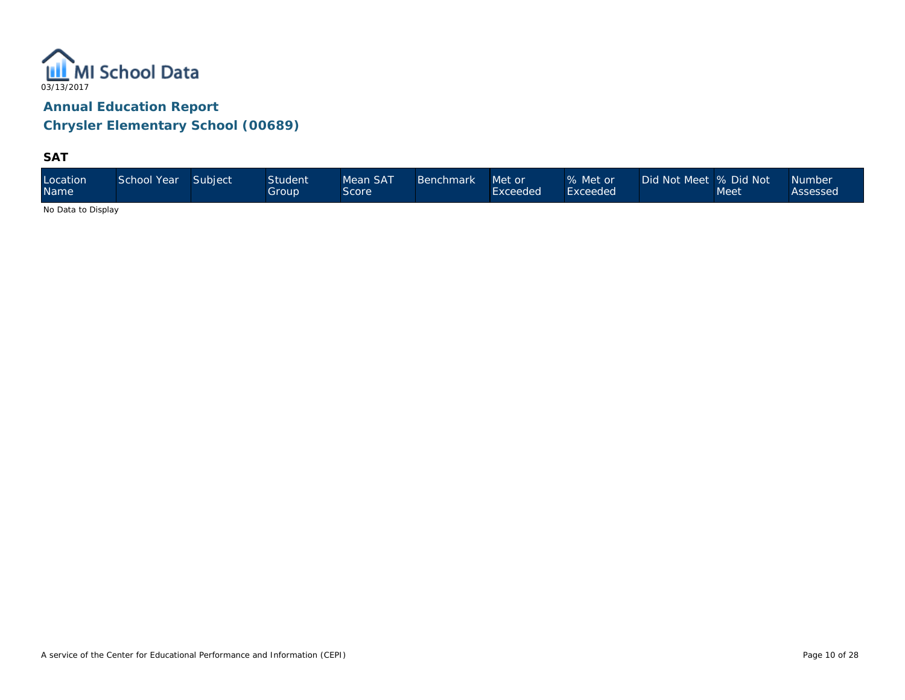

**SAT**

| Location<br><b>Name</b> | School Year | Subject | <b>Student</b><br>Group | Mean SAT<br>Score | <b>Benchmark</b> | Met or<br>Exceeded | % Met or<br>Exceeded <sup>1</sup> | Did Not Meet 9% Did Not \ | Meet | <b>Number</b><br>Assessed |
|-------------------------|-------------|---------|-------------------------|-------------------|------------------|--------------------|-----------------------------------|---------------------------|------|---------------------------|
|-------------------------|-------------|---------|-------------------------|-------------------|------------------|--------------------|-----------------------------------|---------------------------|------|---------------------------|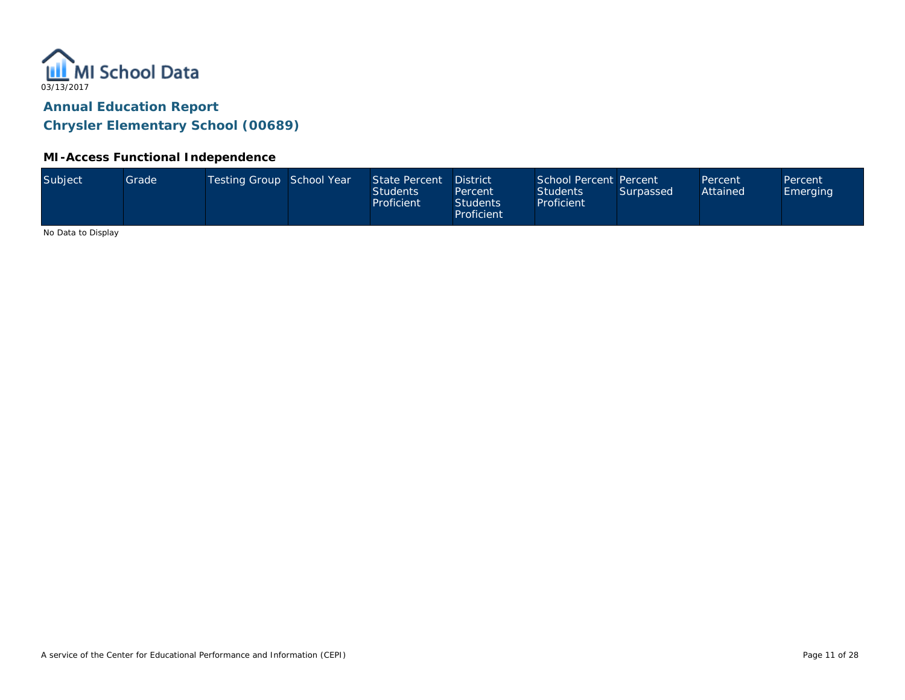

#### **MI-Access Functional Independence**

| Subject<br>Testing Group School Year<br>School Percent Percent<br>State Percent<br>Grade<br><b>District</b><br>Percent<br>Percent<br>Attained<br><b>Students</b><br><b>Students</b><br>Surpassed<br><b>Emerging</b><br>Percent<br>Proficient<br><b>Students</b><br>Proficient<br>Proficient |  |
|---------------------------------------------------------------------------------------------------------------------------------------------------------------------------------------------------------------------------------------------------------------------------------------------|--|
|---------------------------------------------------------------------------------------------------------------------------------------------------------------------------------------------------------------------------------------------------------------------------------------------|--|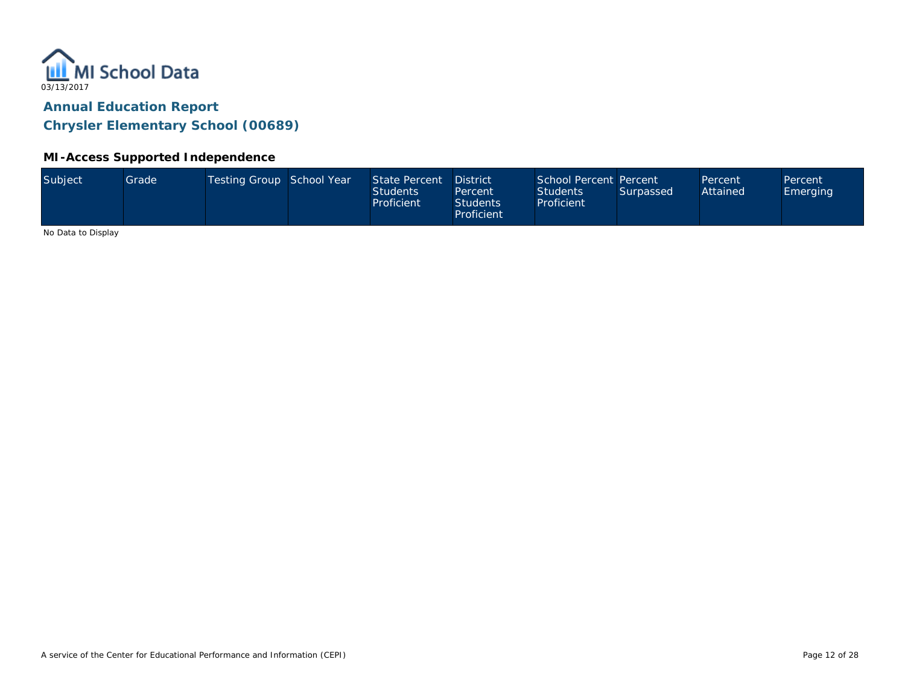

#### **MI-Access Supported Independence**

|  | Subject | Grade <sup>1</sup> | Testing Group School Year |  | State Percent<br><b>Students</b><br>Proficient | <b>District</b><br>Percent<br><b>Students</b><br>Proficient | School Percent Percent<br><b>Students</b><br>Proficient | Surpassed | Percent<br>Attained | Percent<br>Emerging |
|--|---------|--------------------|---------------------------|--|------------------------------------------------|-------------------------------------------------------------|---------------------------------------------------------|-----------|---------------------|---------------------|
|--|---------|--------------------|---------------------------|--|------------------------------------------------|-------------------------------------------------------------|---------------------------------------------------------|-----------|---------------------|---------------------|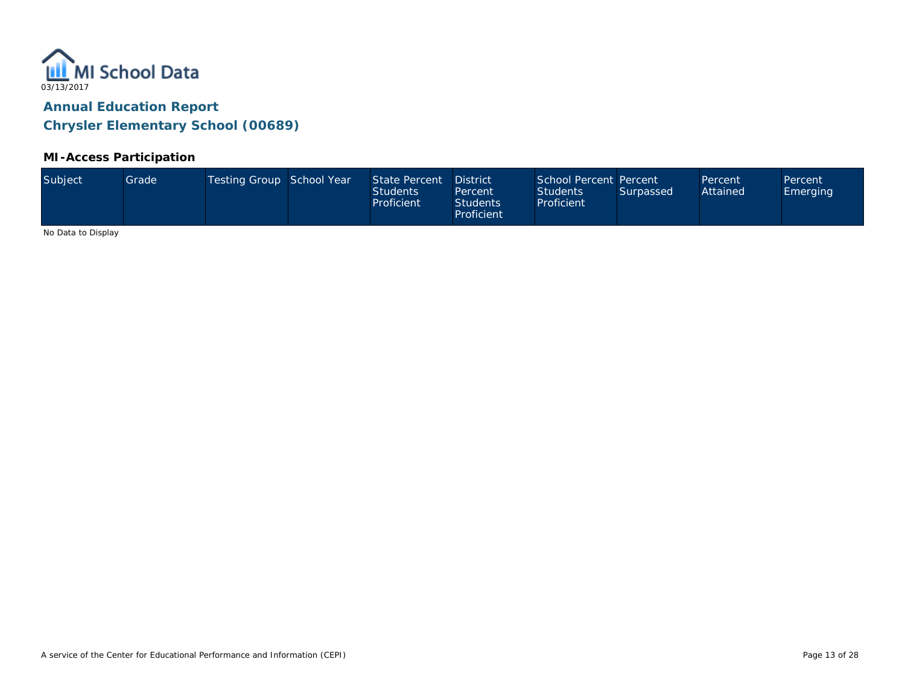

### **MI-Access Participation**

| Subject<br>Testing Group School Year<br>School Percent Percent<br>State Percent<br>Grade<br><b>District</b><br>Percent<br>Percent<br>Attained<br><b>Students</b><br><b>Students</b><br>Surpassed<br><b>Emerging</b><br>Percent<br>Proficient<br><b>Students</b><br>Proficient<br>Proficient |  |
|---------------------------------------------------------------------------------------------------------------------------------------------------------------------------------------------------------------------------------------------------------------------------------------------|--|
|---------------------------------------------------------------------------------------------------------------------------------------------------------------------------------------------------------------------------------------------------------------------------------------------|--|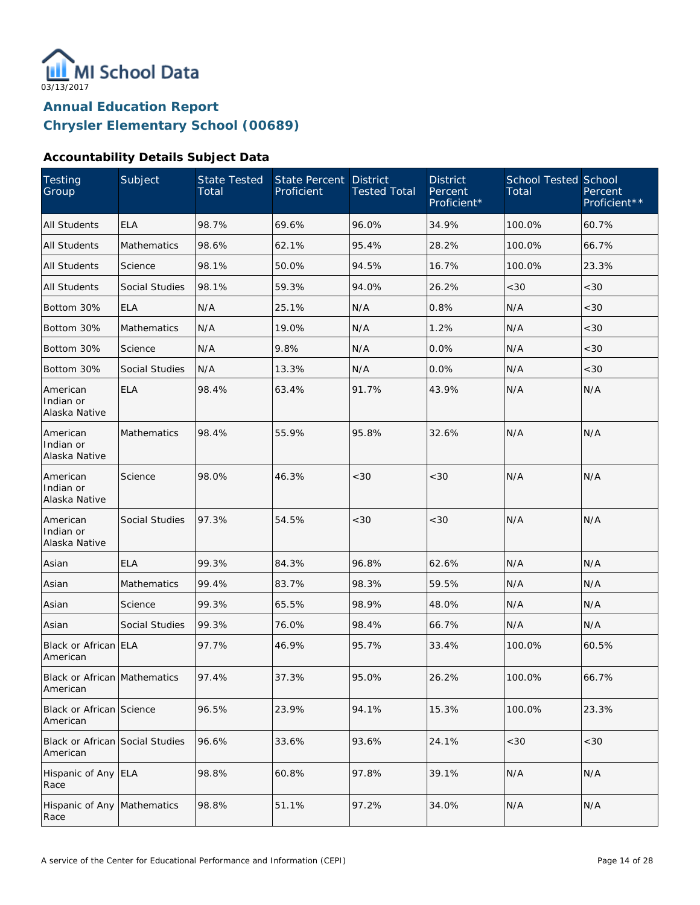

### **Accountability Details Subject Data**

| Testing<br>Group                            | Subject               | State Tested<br>Total | State Percent<br>Proficient | <b>District</b><br><b>Tested Total</b> | <b>District</b><br>Percent<br>Proficient* | <b>School Tested School</b><br>Total | Percent<br>Proficient** |
|---------------------------------------------|-----------------------|-----------------------|-----------------------------|----------------------------------------|-------------------------------------------|--------------------------------------|-------------------------|
| <b>All Students</b>                         | <b>ELA</b>            | 98.7%                 | 69.6%                       | 96.0%                                  | 34.9%                                     | 100.0%                               | 60.7%                   |
| <b>All Students</b>                         | Mathematics           | 98.6%                 | 62.1%                       | 95.4%                                  | 28.2%                                     | 100.0%                               | 66.7%                   |
| <b>All Students</b>                         | Science               | 98.1%                 | 50.0%                       | 94.5%                                  | 16.7%                                     | 100.0%                               | 23.3%                   |
| All Students                                | <b>Social Studies</b> | 98.1%                 | 59.3%                       | 94.0%                                  | 26.2%                                     | <30                                  | <30                     |
| Bottom 30%                                  | <b>ELA</b>            | N/A                   | 25.1%                       | N/A                                    | 0.8%                                      | N/A                                  | <30                     |
| Bottom 30%                                  | Mathematics           | N/A                   | 19.0%                       | N/A                                    | 1.2%                                      | N/A                                  | <30                     |
| Bottom 30%                                  | Science               | N/A                   | 9.8%                        | N/A                                    | 0.0%                                      | N/A                                  | <30                     |
| Bottom 30%                                  | <b>Social Studies</b> | N/A                   | 13.3%                       | N/A                                    | 0.0%                                      | N/A                                  | <30                     |
| American<br>Indian or<br>Alaska Native      | <b>ELA</b>            | 98.4%                 | 63.4%                       | 91.7%                                  | 43.9%                                     | N/A                                  | N/A                     |
| American<br>Indian or<br>Alaska Native      | <b>Mathematics</b>    | 98.4%                 | 55.9%                       | 95.8%                                  | 32.6%                                     | N/A                                  | N/A                     |
| American<br>Indian or<br>Alaska Native      | Science               | 98.0%                 | 46.3%                       | <30                                    | < 30                                      | N/A                                  | N/A                     |
| American<br>Indian or<br>Alaska Native      | <b>Social Studies</b> | 97.3%                 | 54.5%                       | <30                                    | < 30                                      | N/A                                  | N/A                     |
| Asian                                       | <b>ELA</b>            | 99.3%                 | 84.3%                       | 96.8%                                  | 62.6%                                     | N/A                                  | N/A                     |
| Asian                                       | <b>Mathematics</b>    | 99.4%                 | 83.7%                       | 98.3%                                  | 59.5%                                     | N/A                                  | N/A                     |
| Asian                                       | Science               | 99.3%                 | 65.5%                       | 98.9%                                  | 48.0%                                     | N/A                                  | N/A                     |
| Asian                                       | <b>Social Studies</b> | 99.3%                 | 76.0%                       | 98.4%                                  | 66.7%                                     | N/A                                  | N/A                     |
| Black or African ELA<br>American            |                       | 97.7%                 | 46.9%                       | 95.7%                                  | 33.4%                                     | 100.0%                               | 60.5%                   |
| Black or African Mathematics<br>American    |                       | 97.4%                 | 37.3%                       | 95.0%                                  | 26.2%                                     | 100.0%                               | 66.7%                   |
| Black or African Science<br>American        |                       | 96.5%                 | 23.9%                       | 94.1%                                  | 15.3%                                     | 100.0%                               | 23.3%                   |
| Black or African Social Studies<br>American |                       | 96.6%                 | 33.6%                       | 93.6%                                  | 24.1%                                     | <30                                  | <30                     |
| Hispanic of Any ELA<br>Race                 |                       | 98.8%                 | 60.8%                       | 97.8%                                  | 39.1%                                     | N/A                                  | N/A                     |
| Hispanic of Any Mathematics<br>Race         |                       | 98.8%                 | 51.1%                       | 97.2%                                  | 34.0%                                     | N/A                                  | N/A                     |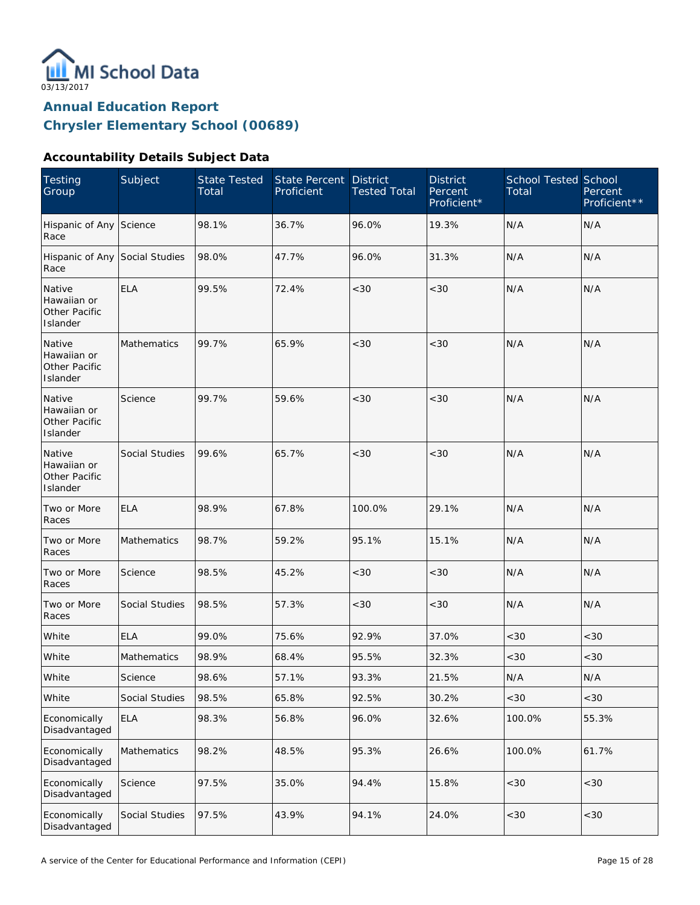

### **Accountability Details Subject Data**

| <b>Testing</b><br>Group                            | Subject        | <b>State Tested</b><br>Total | <b>State Percent</b><br>Proficient | <b>District</b><br><b>Tested Total</b> | <b>District</b><br>Percent<br>Proficient* | <b>School Tested School</b><br>Total | Percent<br>Proficient** |
|----------------------------------------------------|----------------|------------------------------|------------------------------------|----------------------------------------|-------------------------------------------|--------------------------------------|-------------------------|
| Hispanic of Any Science<br>Race                    |                | 98.1%                        | 36.7%                              | 96.0%                                  | 19.3%                                     | N/A                                  | N/A                     |
| Hispanic of Any Social Studies<br>Race             |                | 98.0%                        | 47.7%                              | 96.0%                                  | 31.3%                                     | N/A                                  | N/A                     |
| Native<br>Hawaiian or<br>Other Pacific<br>Islander | <b>ELA</b>     | 99.5%                        | 72.4%                              | <30                                    | <30                                       | N/A                                  | N/A                     |
| Native<br>Hawaiian or<br>Other Pacific<br>Islander | Mathematics    | 99.7%                        | 65.9%                              | <30                                    | < 30                                      | N/A                                  | N/A                     |
| Native<br>Hawaiian or<br>Other Pacific<br>Islander | Science        | 99.7%                        | 59.6%                              | <30                                    | < 30                                      | N/A                                  | N/A                     |
| Native<br>Hawaiian or<br>Other Pacific<br>Islander | Social Studies | 99.6%                        | 65.7%                              | <30                                    | < 30                                      | N/A                                  | N/A                     |
| Two or More<br>Races                               | <b>ELA</b>     | 98.9%                        | 67.8%                              | 100.0%                                 | 29.1%                                     | N/A                                  | N/A                     |
| Two or More<br>Races                               | Mathematics    | 98.7%                        | 59.2%                              | 95.1%                                  | 15.1%                                     | N/A                                  | N/A                     |
| Two or More<br>Races                               | Science        | 98.5%                        | 45.2%                              | <30                                    | < 30                                      | N/A                                  | N/A                     |
| Two or More<br>Races                               | Social Studies | 98.5%                        | 57.3%                              | <30                                    | < 30                                      | N/A                                  | N/A                     |
| White                                              | <b>ELA</b>     | 99.0%                        | 75.6%                              | 92.9%                                  | 37.0%                                     | <30                                  | <30                     |
| White                                              | Mathematics    | 98.9%                        | 68.4%                              | 95.5%                                  | 32.3%                                     | <30                                  | <30                     |
| White                                              | Science        | 98.6%                        | 57.1%                              | 93.3%                                  | 21.5%                                     | $\mathsf{N}/\mathsf{A}$              | N/A                     |
| White                                              | Social Studies | 98.5%                        | 65.8%                              | 92.5%                                  | 30.2%                                     | <30                                  | <30                     |
| Economically<br>Disadvantaged                      | <b>ELA</b>     | 98.3%                        | 56.8%                              | 96.0%                                  | 32.6%                                     | 100.0%                               | 55.3%                   |
| Economically<br>Disadvantaged                      | Mathematics    | 98.2%                        | 48.5%                              | 95.3%                                  | 26.6%                                     | 100.0%                               | 61.7%                   |
| Economically<br>Disadvantaged                      | Science        | 97.5%                        | 35.0%                              | 94.4%                                  | 15.8%                                     | $<30$                                | $<30$                   |
| Economically<br>Disadvantaged                      | Social Studies | 97.5%                        | 43.9%                              | 94.1%                                  | 24.0%                                     | <30                                  | <30                     |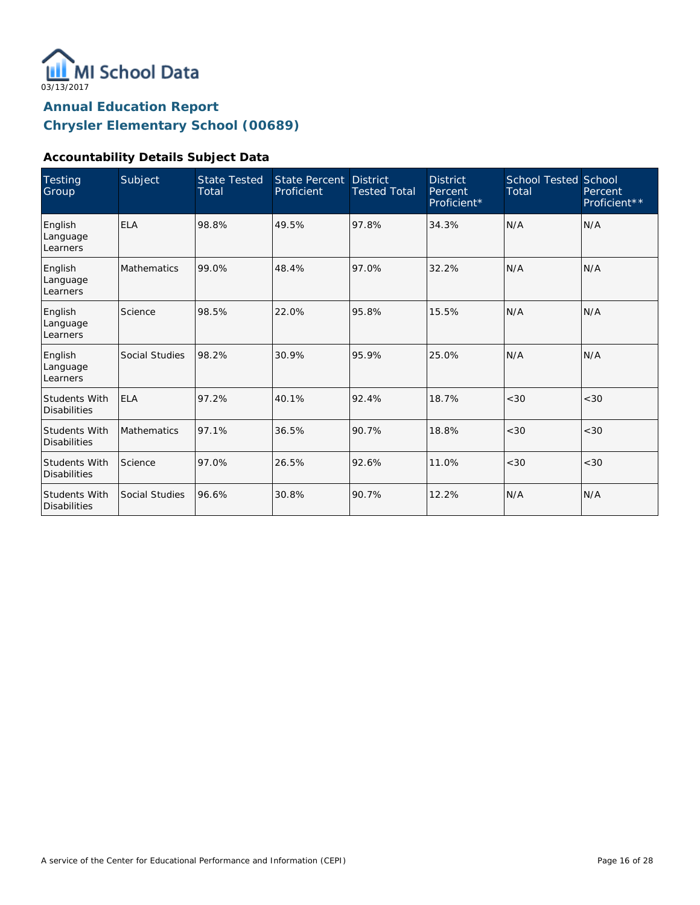

### **Accountability Details Subject Data**

| <b>Testing</b><br>Group                     | Subject            | <b>State Tested</b><br>Total | <b>State Percent</b><br>Proficient | <b>District</b><br><b>Tested Total</b> | <b>District</b><br>Percent<br>Proficient* | <b>School Tested School</b><br>Total | Percent<br>Proficient** |
|---------------------------------------------|--------------------|------------------------------|------------------------------------|----------------------------------------|-------------------------------------------|--------------------------------------|-------------------------|
| English<br>Language<br>Learners             | <b>ELA</b>         | 98.8%                        | 49.5%                              | 97.8%                                  | 34.3%                                     | N/A                                  | N/A                     |
| English<br>Language<br>Learners             | <b>Mathematics</b> | 99.0%                        | 48.4%                              | 97.0%                                  | 32.2%                                     | N/A                                  | N/A                     |
| English<br>Language<br>Learners             | Science            | 98.5%                        | 22.0%                              | 95.8%                                  | 15.5%                                     | N/A                                  | N/A                     |
| English<br>Language<br>Learners             | Social Studies     | 98.2%                        | 30.9%                              | 95.9%                                  | 25.0%                                     | N/A                                  | N/A                     |
| <b>Students With</b><br><b>Disabilities</b> | <b>ELA</b>         | 97.2%                        | 40.1%                              | 92.4%                                  | 18.7%                                     | <30                                  | <30                     |
| <b>Students With</b><br><b>Disabilities</b> | Mathematics        | 97.1%                        | 36.5%                              | 90.7%                                  | 18.8%                                     | < 30                                 | < 30                    |
| Students With<br><b>Disabilities</b>        | Science            | 97.0%                        | 26.5%                              | 92.6%                                  | 11.0%                                     | < 30                                 | <30                     |
| <b>Students With</b><br><b>Disabilities</b> | Social Studies     | 96.6%                        | 30.8%                              | 90.7%                                  | 12.2%                                     | N/A                                  | N/A                     |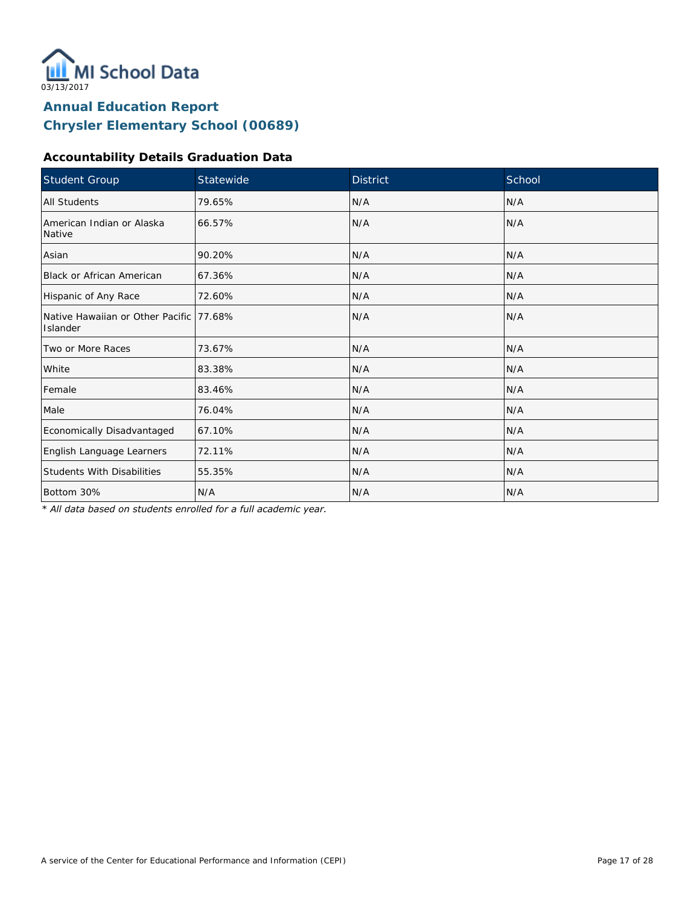

## **Accountability Details Graduation Data**

| Student Group                                        | Statewide | <b>District</b> | School |
|------------------------------------------------------|-----------|-----------------|--------|
| All Students                                         | 79.65%    | N/A             | N/A    |
| American Indian or Alaska<br>Native                  | 66.57%    | N/A             | N/A    |
| Asian                                                | 90.20%    | N/A             | N/A    |
| Black or African American                            | 67.36%    | N/A             | N/A    |
| Hispanic of Any Race                                 | 72.60%    | N/A             | N/A    |
| Native Hawaiian or Other Pacific 177.68%<br>Islander |           | N/A             | N/A    |
| Two or More Races                                    | 73.67%    | N/A             | N/A    |
| White                                                | 83.38%    | N/A             | N/A    |
| Female                                               | 83.46%    | N/A             | N/A    |
| Male                                                 | 76.04%    | N/A             | N/A    |
| Economically Disadvantaged                           | 67.10%    | N/A             | N/A    |
| English Language Learners                            | 72.11%    | N/A             | N/A    |
| <b>Students With Disabilities</b>                    | 55.35%    | N/A             | N/A    |
| Bottom 30%                                           | N/A       | N/A             | N/A    |

*\* All data based on students enrolled for a full academic year.*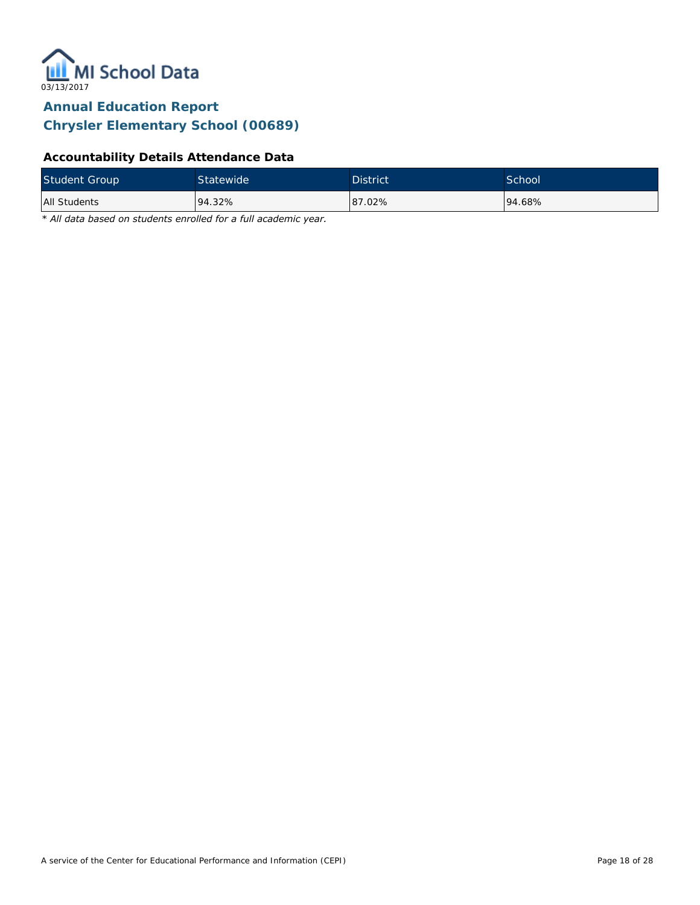

## **Accountability Details Attendance Data**

| <b>Student Group</b> | Statewide | <b>District</b> | <b>School</b> |
|----------------------|-----------|-----------------|---------------|
| All Students         | 94.32%    | 87.02%          | 94.68%        |

*\* All data based on students enrolled for a full academic year.*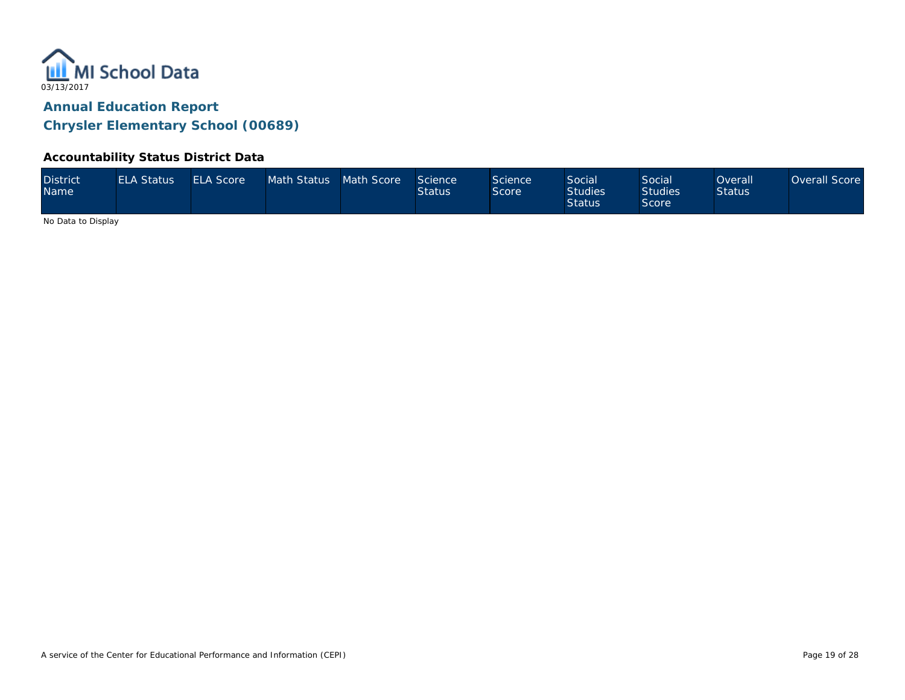

#### **Accountability Status District Data**

| <b>District</b><br><b>Name</b> | <b>ELA Status</b> | <b>ELA Score</b> | Math Status Math Score |  | Science<br><b>Status</b> | Science<br>Score | Social<br><b>Studies</b><br><b>Status</b> | Social<br><b>Studies</b><br><b>Score</b> | <b>Overall</b><br><b>Status</b> | Overall Score |
|--------------------------------|-------------------|------------------|------------------------|--|--------------------------|------------------|-------------------------------------------|------------------------------------------|---------------------------------|---------------|
|--------------------------------|-------------------|------------------|------------------------|--|--------------------------|------------------|-------------------------------------------|------------------------------------------|---------------------------------|---------------|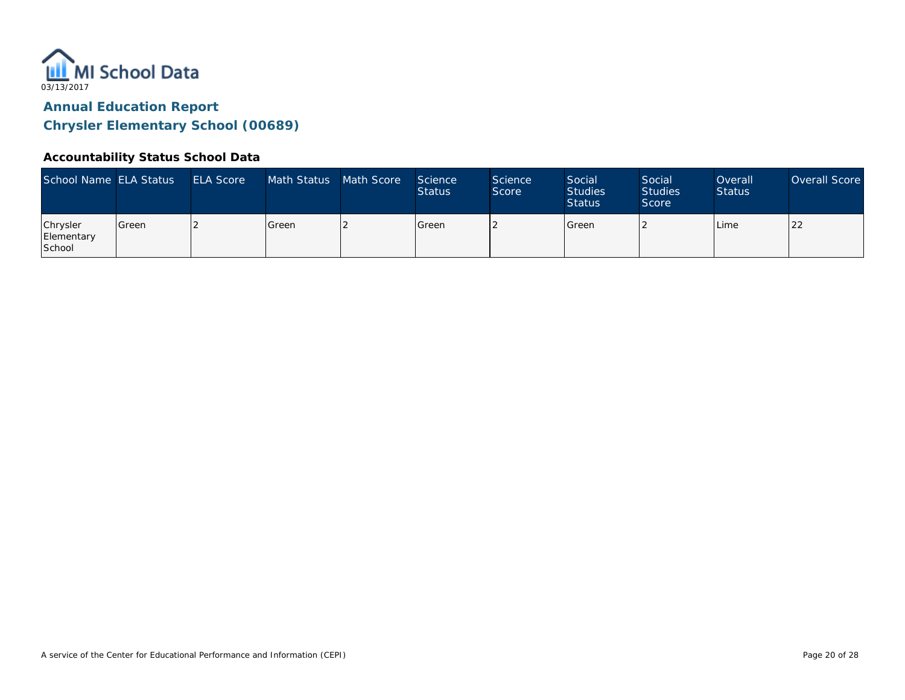

#### **Accountability Status School Data**

| School Name ELA Status           |         | <b>ELA Score</b> | Math Status | Math Score | Science<br><b>Status</b> | <b>Science</b><br>Score | Social<br><b>Studies</b><br><b>Status</b> | Social<br><b>Studies</b><br>Score | Overall<br><b>Status</b> | Overall Score |
|----------------------------------|---------|------------------|-------------|------------|--------------------------|-------------------------|-------------------------------------------|-----------------------------------|--------------------------|---------------|
| Chrysler<br>Elementary<br>School | l Green |                  | Green       |            | Green                    |                         | Green                                     |                                   | Lime                     | 22            |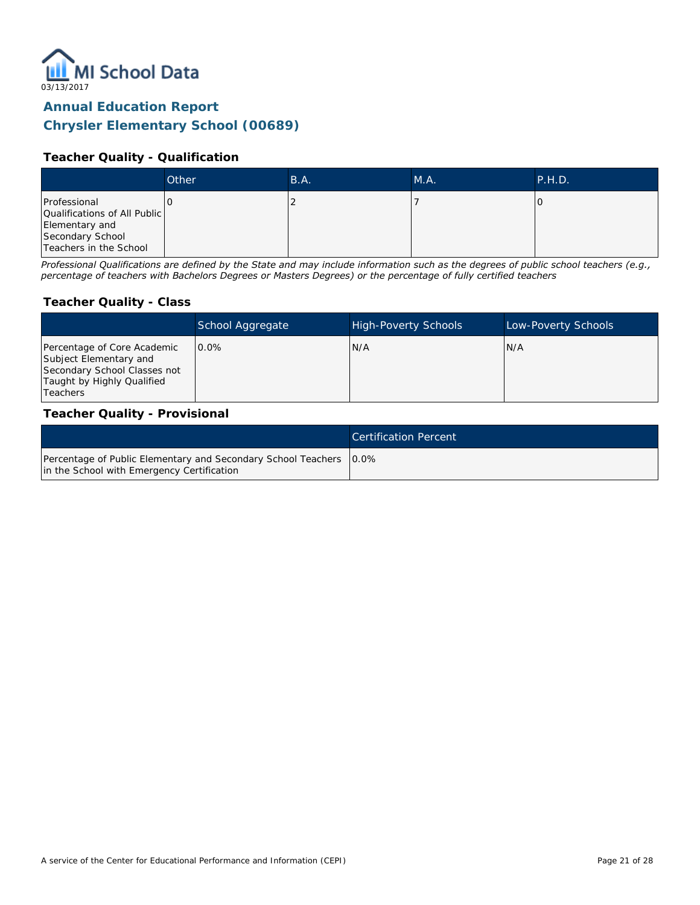

## **Teacher Quality - Qualification**

|                                                                                                              | Other | B.A. | MA. | P.H.D. |
|--------------------------------------------------------------------------------------------------------------|-------|------|-----|--------|
| Professional<br>Qualifications of All Public<br>Elementary and<br>Secondary School<br>Teachers in the School |       |      |     |        |

*Professional Qualifications are defined by the State and may include information such as the degrees of public school teachers (e.g., percentage of teachers with Bachelors Degrees or Masters Degrees) or the percentage of fully certified teachers*

#### **Teacher Quality - Class**

|                                                                                                                                        | School Aggregate | <b>High-Poverty Schools</b> | Low-Poverty Schools |
|----------------------------------------------------------------------------------------------------------------------------------------|------------------|-----------------------------|---------------------|
| Percentage of Core Academic<br>Subject Elementary and<br>Secondary School Classes not<br>Taught by Highly Qualified<br><b>Teachers</b> | $0.0\%$          | N/A                         | N/A                 |

#### **Teacher Quality - Provisional**

|                                                                                                                    | Certification Percent |
|--------------------------------------------------------------------------------------------------------------------|-----------------------|
| Percentage of Public Elementary and Secondary School Teachers   0.0%<br>in the School with Emergency Certification |                       |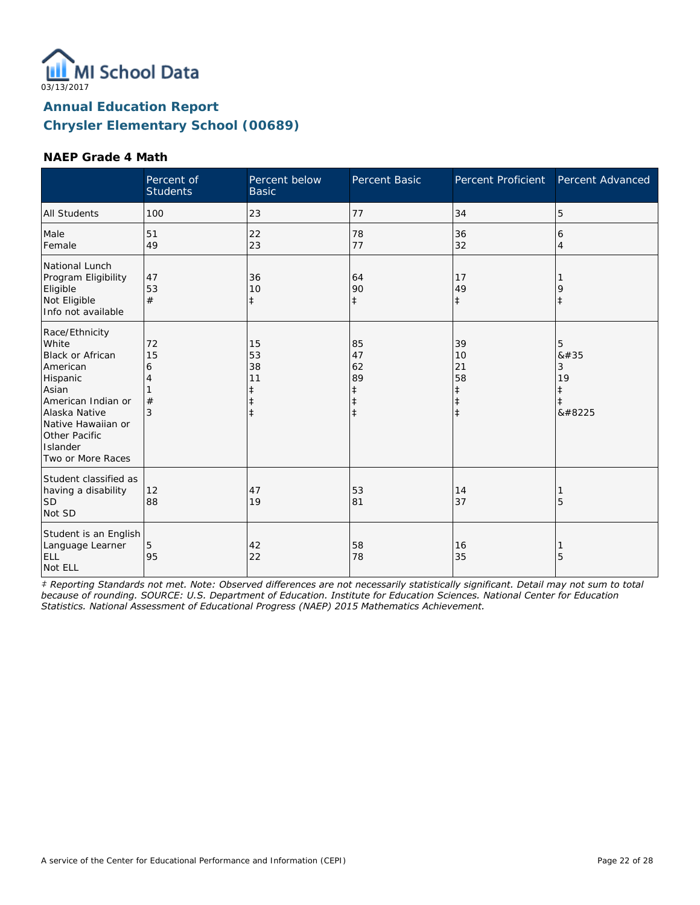

#### **NAEP Grade 4 Math**

|                                                                                                                                                                                                    | Percent of<br><b>Students</b> | Percent below<br><b>Basic</b>      | Percent Basic                                         | Percent Proficient                                             | Percent Advanced                                      |
|----------------------------------------------------------------------------------------------------------------------------------------------------------------------------------------------------|-------------------------------|------------------------------------|-------------------------------------------------------|----------------------------------------------------------------|-------------------------------------------------------|
| All Students                                                                                                                                                                                       | 100                           | 23                                 | 77                                                    | 34                                                             | 5                                                     |
| Male<br>Female                                                                                                                                                                                     | 51<br>49                      | 22<br>23                           | 78<br>77                                              | 36<br>32                                                       | 6<br>$\overline{4}$                                   |
| National Lunch<br>Program Eligibility<br>Eligible<br>Not Eligible<br>Info not available                                                                                                            | 47<br>53<br>#                 | 36<br>10<br>$\ddagger$             | 64<br>90<br>$\ddagger$                                | 17<br>49<br>$\ddagger$                                         | 9<br>$\ddagger$                                       |
| Race/Ethnicity<br>White<br><b>Black or African</b><br>American<br>Hispanic<br>Asian<br>American Indian or<br>Alaska Native<br>Native Hawaiian or<br>Other Pacific<br>Islander<br>Two or More Races | 72<br>15<br>6<br>#<br>3       | 15<br>53<br>38<br>11<br>$\ddagger$ | 85<br>47<br>62<br>89<br>ŧ<br>$\ddagger$<br>$\ddagger$ | 39<br>10<br>21<br>58<br>$\ddagger$<br>$\ddagger$<br>$\ddagger$ | 5<br>8#35<br>3<br>19<br>$\ddagger$<br>$\ddagger$<br>‡ |
| Student classified as<br>having a disability<br><b>SD</b><br>Not SD                                                                                                                                | 12<br>88                      | 47<br>19                           | 53<br>81                                              | 14<br>37                                                       | 5                                                     |
| Student is an English<br>Language Learner<br><b>ELL</b><br>Not ELL                                                                                                                                 | 5<br>95                       | 42<br>22                           | 58<br>78                                              | 16<br>35                                                       | 5                                                     |

*‡ Reporting Standards not met. Note: Observed differences are not necessarily statistically significant. Detail may not sum to total because of rounding. SOURCE: U.S. Department of Education. Institute for Education Sciences. National Center for Education Statistics. National Assessment of Educational Progress (NAEP) 2015 Mathematics Achievement.*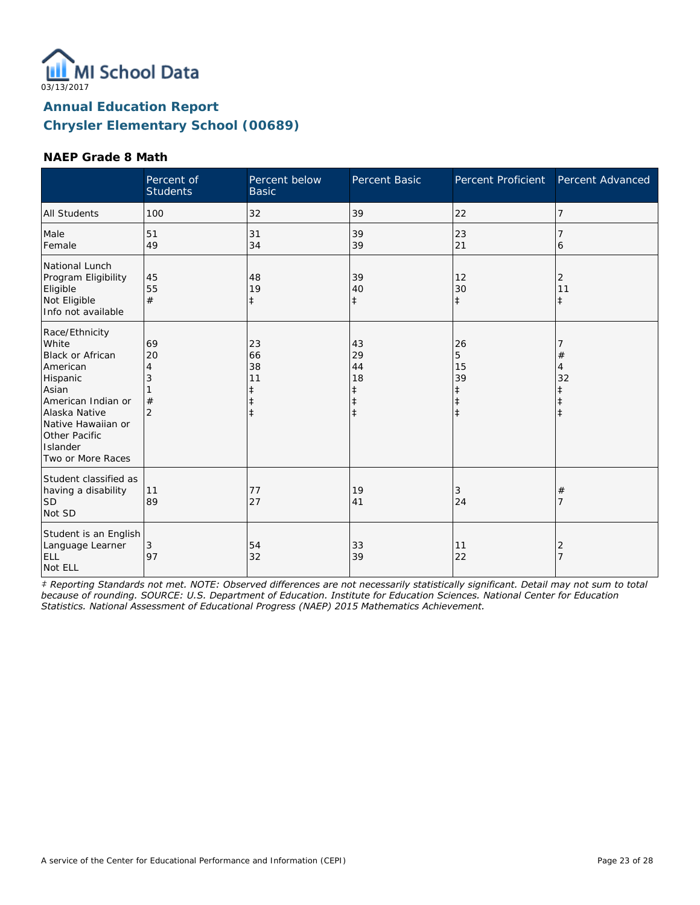

#### **NAEP Grade 8 Math**

|                                                                                                                                                                                             | Percent of<br><b>Students</b>             | Percent below<br><b>Basic</b>                         | Percent Basic                                                  | Percent Proficient                              | Percent Advanced                 |
|---------------------------------------------------------------------------------------------------------------------------------------------------------------------------------------------|-------------------------------------------|-------------------------------------------------------|----------------------------------------------------------------|-------------------------------------------------|----------------------------------|
| <b>All Students</b>                                                                                                                                                                         | 100                                       | 32                                                    | 39                                                             | 22                                              | 7                                |
| Male<br>Female                                                                                                                                                                              | 51<br>49                                  | 31<br>34                                              | 39<br>39                                                       | 23<br>21                                        | 6                                |
| National Lunch<br>Program Eligibility<br>Eligible<br>Not Eligible<br>Info not available                                                                                                     | 45<br>55<br>#                             | 48<br>19<br>$\ddagger$                                | 39<br>40<br>$\ddagger$                                         | 12<br>30<br>$\ddagger$                          | 2<br>11<br>$\ddagger$            |
| Race/Ethnicity<br>White<br>Black or African<br>American<br>Hispanic<br>Asian<br>American Indian or<br>Alaska Native<br>Native Hawaiian or<br>Other Pacific<br>Islander<br>Two or More Races | 69<br>20<br>4<br>3<br>#<br>$\overline{2}$ | 23<br>66<br>38<br>11<br>ŧ<br>$\ddagger$<br>$\ddagger$ | 43<br>29<br>44<br>18<br>$\ddagger$<br>$\ddagger$<br>$\ddagger$ | 26<br>5<br>15<br>39<br>$\ddagger$<br>$\ddagger$ | $^{\#}$<br>4<br>32<br>$\ddagger$ |
| Student classified as<br>having a disability<br><b>SD</b><br>Not SD                                                                                                                         | 11<br>89                                  | 77<br>27                                              | 19<br>41                                                       | 3<br>24                                         | #<br>7                           |
| Student is an English<br>Language Learner<br>ELL<br>Not ELL                                                                                                                                 | 3<br>97                                   | 54<br>32                                              | 33<br>39                                                       | 11<br>22                                        | 2<br>$\overline{7}$              |

*‡ Reporting Standards not met. NOTE: Observed differences are not necessarily statistically significant. Detail may not sum to total because of rounding. SOURCE: U.S. Department of Education. Institute for Education Sciences. National Center for Education Statistics. National Assessment of Educational Progress (NAEP) 2015 Mathematics Achievement.*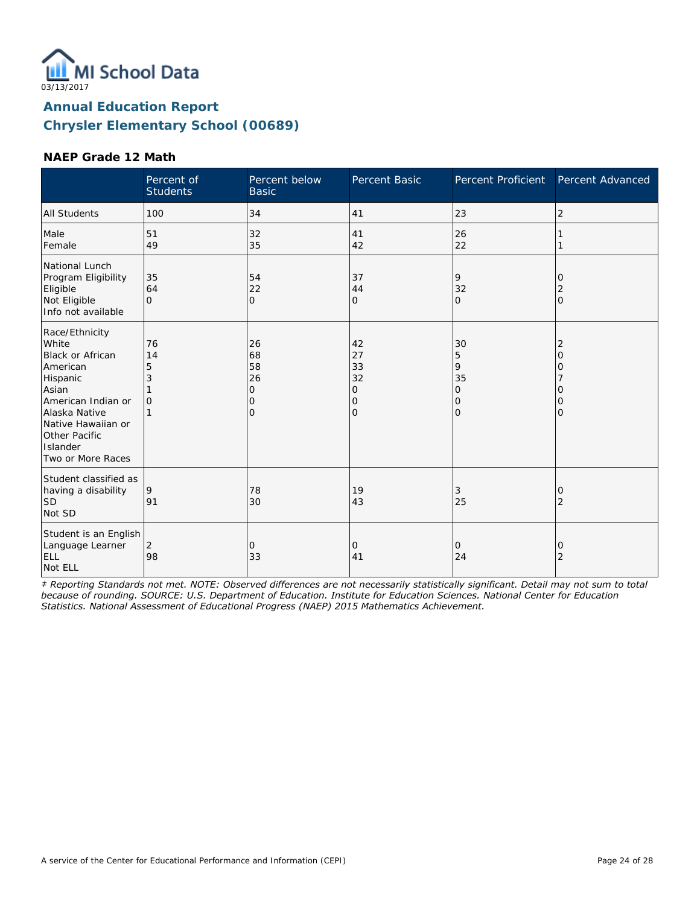

#### **NAEP Grade 12 Math**

|                                                                                                                                                                                                    | Percent of<br><b>Students</b>  | Percent below<br><b>Basic</b>                            | Percent Basic                       | Percent Proficient                       | Percent Advanced      |
|----------------------------------------------------------------------------------------------------------------------------------------------------------------------------------------------------|--------------------------------|----------------------------------------------------------|-------------------------------------|------------------------------------------|-----------------------|
| <b>All Students</b>                                                                                                                                                                                | 100                            | 34                                                       | 41                                  | 23                                       | 2                     |
| Male<br>Female                                                                                                                                                                                     | 51<br>49                       | 32<br>35                                                 | 41<br>42                            | 26<br>22                                 |                       |
| National Lunch<br>Program Eligibility<br>Eligible<br>Not Eligible<br>Info not available                                                                                                            | 35<br>64<br>$\Omega$           | 54<br>22<br>$\mathbf{O}$                                 | 37<br>44<br>O                       | 9<br>32<br>$\mathbf{O}$                  | O<br>2<br>$\Omega$    |
| Race/Ethnicity<br>White<br><b>Black or African</b><br>American<br>Hispanic<br>Asian<br>American Indian or<br>Alaska Native<br>Native Hawaiian or<br>Other Pacific<br>Islander<br>Two or More Races | 76<br>14<br>5<br>3<br>$\Omega$ | 26<br>68<br>58<br>26<br>$\mathbf{O}$<br>0<br>$\mathbf 0$ | 42<br>27<br>33<br>32<br>0<br>0<br>0 | 30<br>5<br>9<br>35<br>0<br>0<br>$\Omega$ | 2<br>Ω<br>Ω<br>0<br>Ω |
| Student classified as<br>having a disability<br><b>SD</b><br>Not SD                                                                                                                                | 9<br>91                        | 78<br>30                                                 | 19<br>43                            | 3<br>25                                  | O<br>2                |
| Student is an English<br>Language Learner<br>ELL<br>Not ELL                                                                                                                                        | 2<br>98                        | 0<br>33                                                  | 0<br>41                             | 0<br>24                                  | 0<br>2                |

*‡ Reporting Standards not met. NOTE: Observed differences are not necessarily statistically significant. Detail may not sum to total because of rounding. SOURCE: U.S. Department of Education. Institute for Education Sciences. National Center for Education Statistics. National Assessment of Educational Progress (NAEP) 2015 Mathematics Achievement.*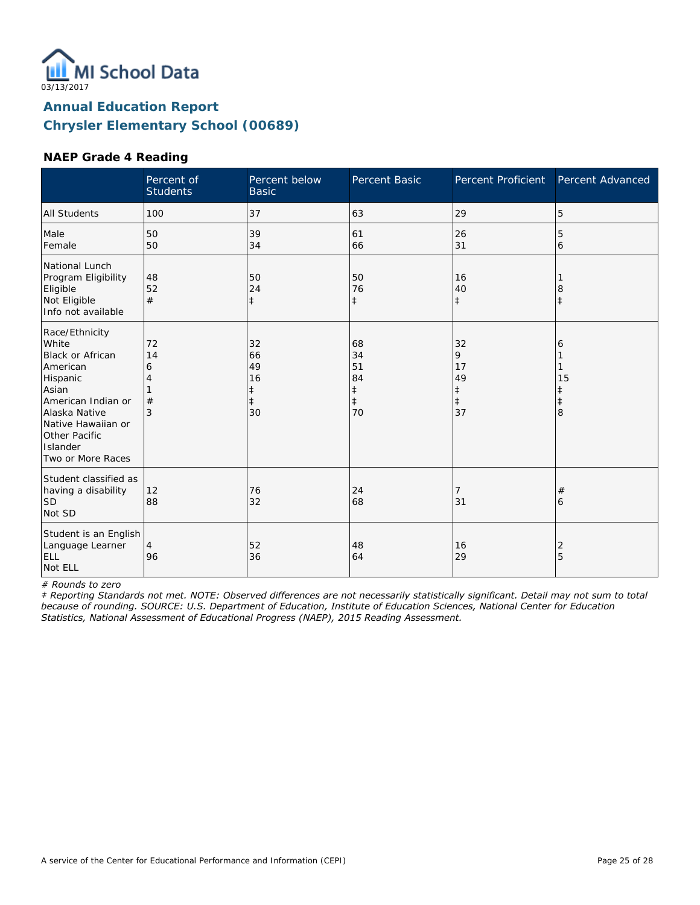

#### **NAEP Grade 4 Reading**

|                                                                                                                                                                                             | Percent of<br><b>Students</b> | Percent below<br><b>Basic</b>                 | Percent Basic                                          | Percent Proficient                           | Percent Advanced                |
|---------------------------------------------------------------------------------------------------------------------------------------------------------------------------------------------|-------------------------------|-----------------------------------------------|--------------------------------------------------------|----------------------------------------------|---------------------------------|
| <b>All Students</b>                                                                                                                                                                         | 100                           | 37                                            | 63                                                     | 29                                           | 5                               |
| Male<br>Female                                                                                                                                                                              | 50<br>50                      | 39<br>34                                      | 61<br>66                                               | 26<br>31                                     | 5<br>6                          |
| National Lunch<br>Program Eligibility<br>Eligible<br>Not Eligible<br>Info not available                                                                                                     | 48<br>52<br>#                 | 50<br>24<br>$\ddagger$                        | 50<br>76<br>$\ddagger$                                 | 16<br>40<br>$\ddagger$                       | 8<br>$\ddagger$                 |
| Race/Ethnicity<br>White<br>Black or African<br>American<br>Hispanic<br>Asian<br>American Indian or<br>Alaska Native<br>Native Hawaiian or<br>Other Pacific<br>Islander<br>Two or More Races | 72<br>14<br>6<br>#<br>3       | 32<br>66<br>49<br>16<br>ŧ<br>$\ddagger$<br>30 | 68<br>34<br>51<br>84<br>$\ddagger$<br>$\ddagger$<br>70 | 32<br>9<br>17<br>49<br>‡<br>$\ddagger$<br>37 | 6<br>15<br>ŧ<br>$\ddagger$<br>8 |
| Student classified as<br>having a disability<br><b>SD</b><br>Not SD                                                                                                                         | 12<br>88                      | 76<br>32                                      | 24<br>68                                               | 7<br>31                                      | #<br>6                          |
| Student is an English<br>Language Learner<br>ELL<br>Not ELL                                                                                                                                 | 4<br>96                       | 52<br>36                                      | 48<br>64                                               | 16<br>29                                     | 2<br>5                          |

*# Rounds to zero*

*‡ Reporting Standards not met. NOTE: Observed differences are not necessarily statistically significant. Detail may not sum to total because of rounding. SOURCE: U.S. Department of Education, Institute of Education Sciences, National Center for Education Statistics, National Assessment of Educational Progress (NAEP), 2015 Reading Assessment.*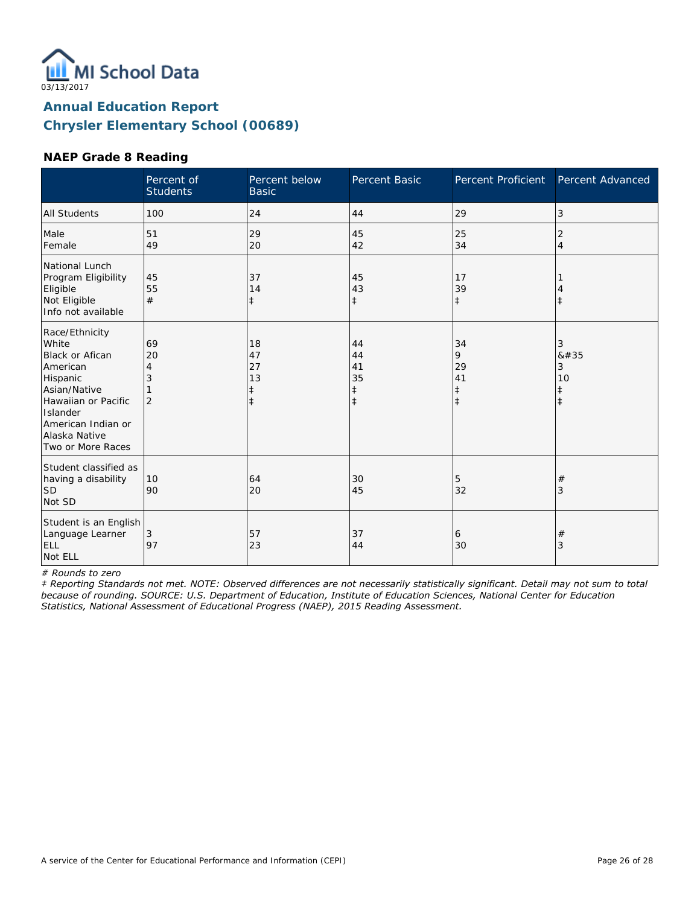

### **NAEP Grade 8 Reading**

|                                                                                                                                                                                          | Percent of<br><b>Students</b>        | Percent below<br><b>Basic</b>                    | Percent Basic                                    | Percent Proficient                              | Percent Advanced                        |
|------------------------------------------------------------------------------------------------------------------------------------------------------------------------------------------|--------------------------------------|--------------------------------------------------|--------------------------------------------------|-------------------------------------------------|-----------------------------------------|
| <b>All Students</b>                                                                                                                                                                      | 100                                  | 24                                               | 44                                               | 29                                              | 3                                       |
| Male<br>Female                                                                                                                                                                           | 51<br>49                             | 29<br>20                                         | 45<br>42                                         | 25<br>34                                        | 2<br>$\overline{4}$                     |
| National Lunch<br>Program Eligibility<br>Eligible<br>Not Eligible<br>Info not available                                                                                                  | 45<br>55<br>#                        | 37<br>14<br>$\ddagger$                           | 45<br>43<br>$\ddagger$                           | 17<br>39<br>$\ddagger$                          | $\ddagger$                              |
| Race/Ethnicity<br>White<br><b>Black or Afican</b><br>American<br>Hispanic<br>Asian/Native<br>Hawaiian or Pacific<br>Islander<br>American Indian or<br>Alaska Native<br>Two or More Races | 69<br>20<br>4<br>3<br>$\overline{2}$ | 18<br>47<br>27<br>13<br>$\ddagger$<br>$\ddagger$ | 44<br>44<br>41<br>35<br>$\ddagger$<br>$\ddagger$ | 34<br>9<br>29<br>41<br>$\ddagger$<br>$\ddagger$ | 3<br>8#35<br>3<br>10<br>ŧ<br>$\ddagger$ |
| Student classified as<br>having a disability<br> SD<br>Not SD                                                                                                                            | 10<br>90                             | 64<br>20                                         | 30<br>45                                         | 5<br>32                                         | $^{\#}$<br>3                            |
| Student is an English<br>Language Learner<br>ELL<br>Not ELL                                                                                                                              | 3<br>97                              | 57<br>23                                         | 37<br>44                                         | 6<br>30                                         | $^{\#}$<br>3                            |

*# Rounds to zero*

*‡ Reporting Standards not met. NOTE: Observed differences are not necessarily statistically significant. Detail may not sum to total because of rounding. SOURCE: U.S. Department of Education, Institute of Education Sciences, National Center for Education Statistics, National Assessment of Educational Progress (NAEP), 2015 Reading Assessment.*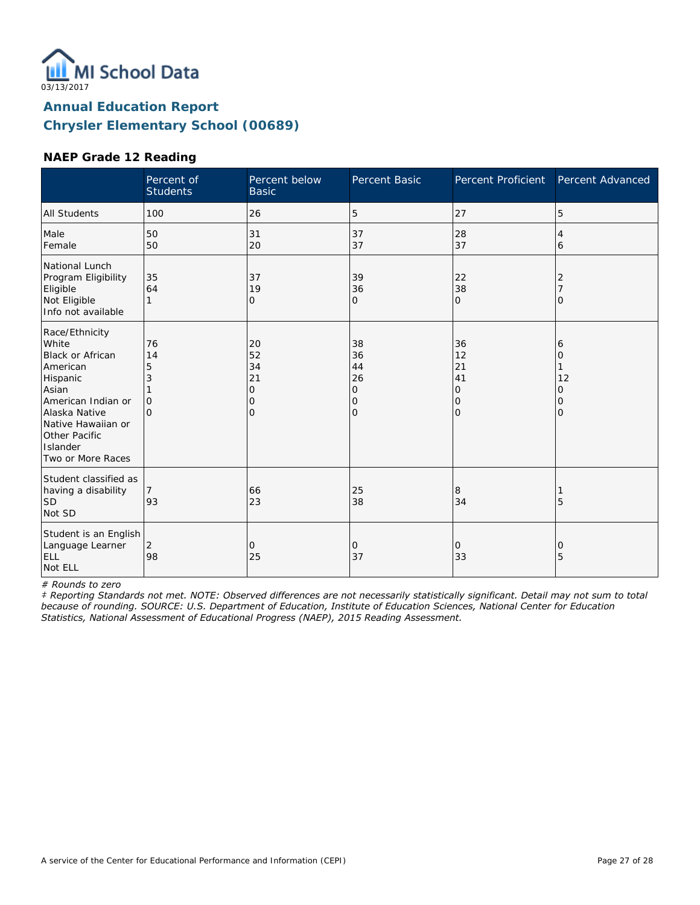

#### **NAEP Grade 12 Reading**

|                                                                                                                                                                                             | Percent of<br><b>Students</b>              | Percent below<br><b>Basic</b>                    | Percent Basic                                    | <b>Percent Proficient</b>            | Percent Advanced                   |
|---------------------------------------------------------------------------------------------------------------------------------------------------------------------------------------------|--------------------------------------------|--------------------------------------------------|--------------------------------------------------|--------------------------------------|------------------------------------|
| <b>All Students</b>                                                                                                                                                                         | 100                                        | 26                                               | 5                                                | 27                                   | 5                                  |
| Male<br>Female                                                                                                                                                                              | 50<br>50                                   | 31<br>20                                         | 37<br>37                                         | 28<br>37                             | 4<br>6                             |
| National Lunch<br>Program Eligibility<br>Eligible<br>Not Eligible<br>Info not available                                                                                                     | 35<br>64<br>1                              | 37<br>19<br>$\mathbf{O}$                         | 39<br>36<br>O                                    | 22<br>38<br>$\mathbf{O}$             | 2<br>O                             |
| Race/Ethnicity<br>White<br>Black or African<br>American<br>Hispanic<br>Asian<br>American Indian or<br>Alaska Native<br>Native Hawaiian or<br>Other Pacific<br>Islander<br>Two or More Races | 76<br>14<br>5<br>3<br>$\Omega$<br>$\Omega$ | 20<br>52<br>34<br>21<br>0<br>0<br>$\overline{O}$ | 38<br>36<br>44<br>26<br>0<br>0<br>$\overline{O}$ | 36<br>12<br>21<br>41<br>0<br>0<br>lo | 6<br>0<br>12<br>0<br>0<br>$\Omega$ |
| Student classified as<br>having a disability<br><b>SD</b><br>Not SD                                                                                                                         | 93                                         | 66<br>23                                         | 25<br>38                                         | 8<br>34                              | 5                                  |
| Student is an English<br>Language Learner<br>ELL<br>Not ELL                                                                                                                                 | 2<br>98                                    | 0<br>25                                          | 0<br>37                                          | 0<br>33                              | 0<br>5                             |

*# Rounds to zero*

*‡ Reporting Standards not met. NOTE: Observed differences are not necessarily statistically significant. Detail may not sum to total because of rounding. SOURCE: U.S. Department of Education, Institute of Education Sciences, National Center for Education Statistics, National Assessment of Educational Progress (NAEP), 2015 Reading Assessment.*